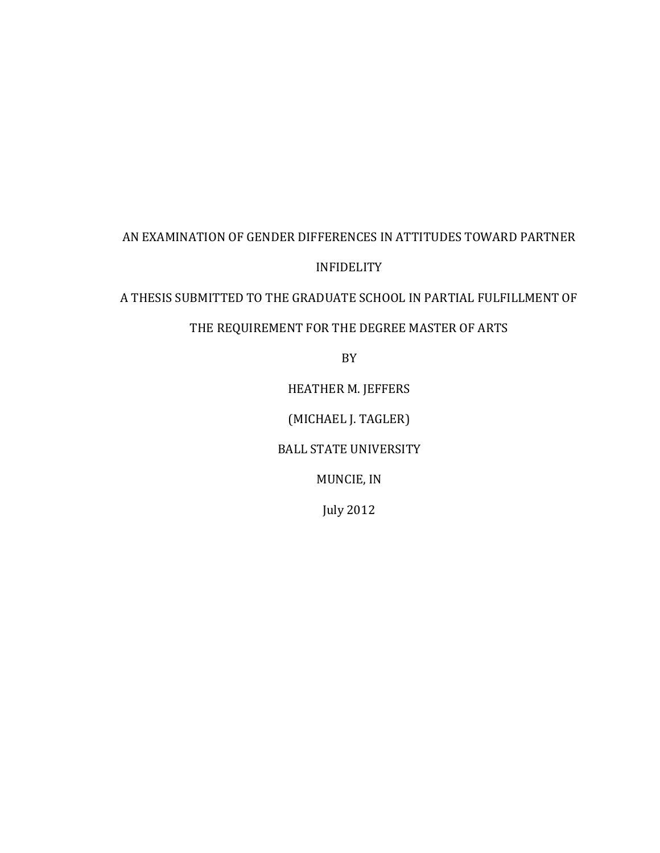# AN EXAMINATION OF GENDER DIFFERENCES IN ATTITUDES TOWARD PARTNER INFIDELITY

A THESIS SUBMITTED TO THE GRADUATE SCHOOL IN PARTIAL FULFILLMENT OF

# THE REQUIREMENT FOR THE DEGREE MASTER OF ARTS

BY

HEATHER M. JEFFERS

(MICHAEL J. TAGLER)

BALL STATE UNIVERSITY

MUNCIE, IN

July 2012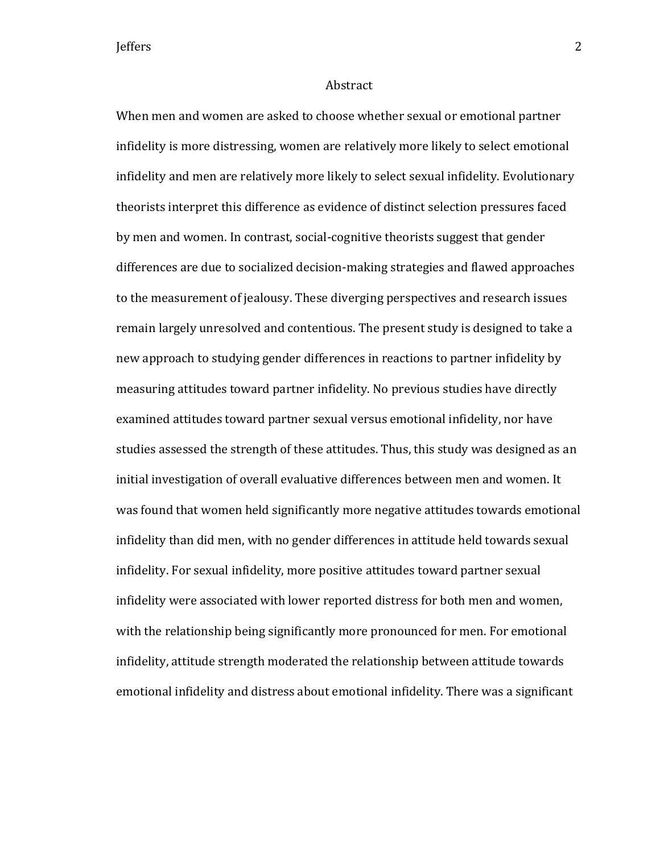#### Abstract

When men and women are asked to choose whether sexual or emotional partner infidelity is more distressing, women are relatively more likely to select emotional infidelity and men are relatively more likely to select sexual infidelity. Evolutionary theorists interpret this difference as evidence of distinct selection pressures faced by men and women. In contrast, social-cognitive theorists suggest that gender differences are due to socialized decision-making strategies and flawed approaches to the measurement of jealousy. These diverging perspectives and research issues remain largely unresolved and contentious. The present study is designed to take a new approach to studying gender differences in reactions to partner infidelity by measuring attitudes toward partner infidelity. No previous studies have directly examined attitudes toward partner sexual versus emotional infidelity, nor have studies assessed the strength of these attitudes. Thus, this study was designed as an initial investigation of overall evaluative differences between men and women. It was found that women held significantly more negative attitudes towards emotional infidelity than did men, with no gender differences in attitude held towards sexual infidelity. For sexual infidelity, more positive attitudes toward partner sexual infidelity were associated with lower reported distress for both men and women, with the relationship being significantly more pronounced for men. For emotional infidelity, attitude strength moderated the relationship between attitude towards emotional infidelity and distress about emotional infidelity. There was a significant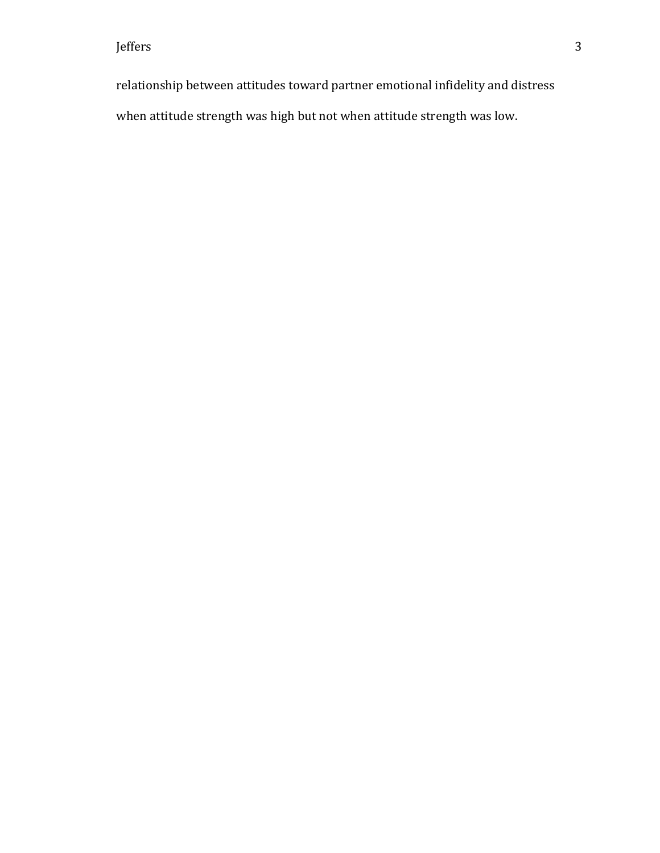relationship between attitudes toward partner emotional infidelity and distress when attitude strength was high but not when attitude strength was low.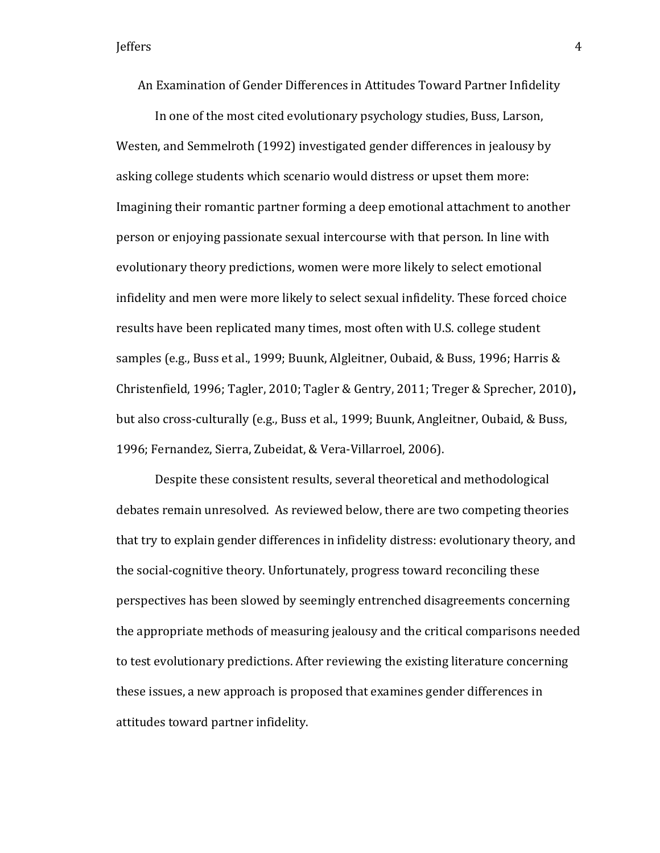An Examination of Gender Differences in Attitudes Toward Partner Infidelity

In one of the most cited evolutionary psychology studies, Buss, Larson, Westen, and Semmelroth (1992) investigated gender differences in jealousy by asking college students which scenario would distress or upset them more: Imagining their romantic partner forming a deep emotional attachment to another person or enjoying passionate sexual intercourse with that person. In line with evolutionary theory predictions, women were more likely to select emotional infidelity and men were more likely to select sexual infidelity. These forced choice results have been replicated many times, most often with U.S. college student samples (e.g., Buss et al., 1999; Buunk, Algleitner, Oubaid, & Buss, 1996; Harris & Christenfield, 1996; Tagler, 2010; Tagler & Gentry, 2011; Treger & Sprecher, 2010)**,**  but also cross-culturally (e.g., Buss et al., 1999; Buunk, Angleitner, Oubaid, & Buss, 1996; Fernandez, Sierra, Zubeidat, & Vera-Villarroel, 2006).

Despite these consistent results, several theoretical and methodological debates remain unresolved. As reviewed below, there are two competing theories that try to explain gender differences in infidelity distress: evolutionary theory, and the social-cognitive theory. Unfortunately, progress toward reconciling these perspectives has been slowed by seemingly entrenched disagreements concerning the appropriate methods of measuring jealousy and the critical comparisons needed to test evolutionary predictions. After reviewing the existing literature concerning these issues, a new approach is proposed that examines gender differences in attitudes toward partner infidelity.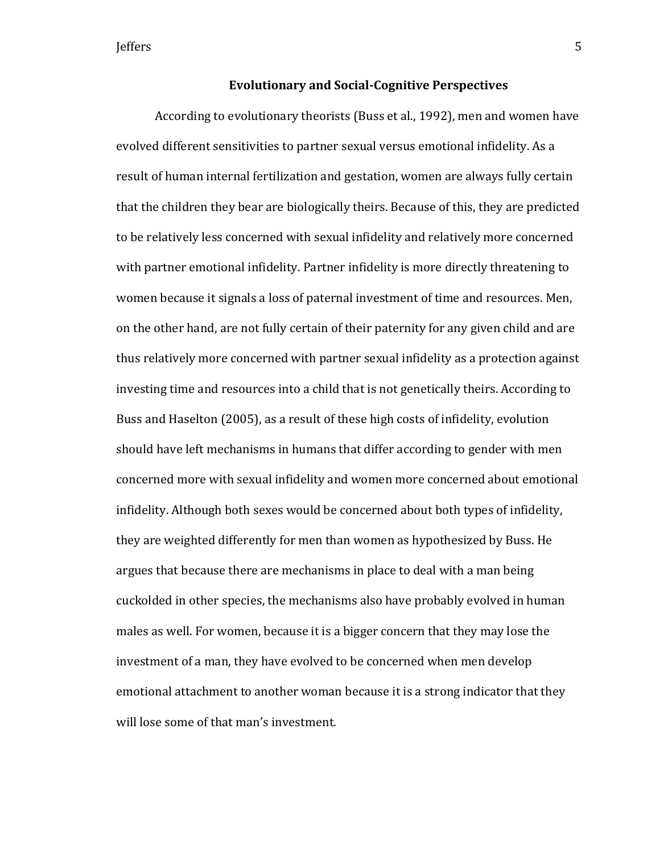#### **Evolutionary and Social-Cognitive Perspectives**

According to evolutionary theorists (Buss et al., 1992), men and women have evolved different sensitivities to partner sexual versus emotional infidelity. As a result of human internal fertilization and gestation, women are always fully certain that the children they bear are biologically theirs. Because of this, they are predicted to be relatively less concerned with sexual infidelity and relatively more concerned with partner emotional infidelity. Partner infidelity is more directly threatening to women because it signals a loss of paternal investment of time and resources. Men, on the other hand, are not fully certain of their paternity for any given child and are thus relatively more concerned with partner sexual infidelity as a protection against investing time and resources into a child that is not genetically theirs. According to Buss and Haselton (2005), as a result of these high costs of infidelity, evolution should have left mechanisms in humans that differ according to gender with men concerned more with sexual infidelity and women more concerned about emotional infidelity. Although both sexes would be concerned about both types of infidelity, they are weighted differently for men than women as hypothesized by Buss. He argues that because there are mechanisms in place to deal with a man being cuckolded in other species, the mechanisms also have probably evolved in human males as well. For women, because it is a bigger concern that they may lose the investment of a man, they have evolved to be concerned when men develop emotional attachment to another woman because it is a strong indicator that they will lose some of that man's investment.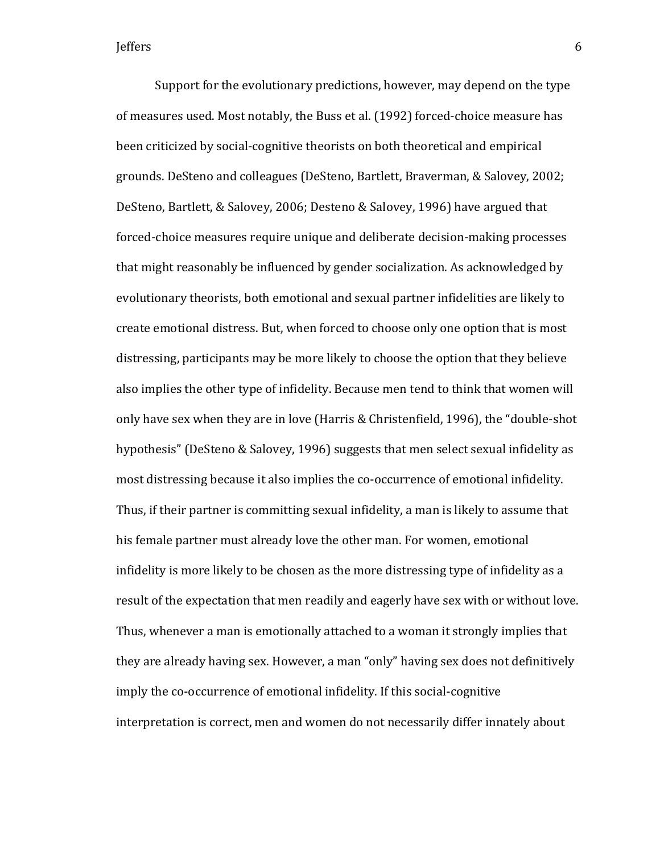Support for the evolutionary predictions, however, may depend on the type of measures used. Most notably, the Buss et al. (1992) forced-choice measure has been criticized by social-cognitive theorists on both theoretical and empirical grounds. DeSteno and colleagues (DeSteno, Bartlett, Braverman, & Salovey, 2002; DeSteno, Bartlett, & Salovey, 2006; Desteno & Salovey, 1996) have argued that forced-choice measures require unique and deliberate decision-making processes that might reasonably be influenced by gender socialization. As acknowledged by evolutionary theorists, both emotional and sexual partner infidelities are likely to create emotional distress. But, when forced to choose only one option that is most distressing, participants may be more likely to choose the option that they believe also implies the other type of infidelity. Because men tend to think that women will only have sex when they are in love (Harris & Christenfield, 1996), the "double-shot hypothesis" (DeSteno & Salovey, 1996) suggests that men select sexual infidelity as most distressing because it also implies the co-occurrence of emotional infidelity. Thus, if their partner is committing sexual infidelity, a man is likely to assume that his female partner must already love the other man. For women, emotional infidelity is more likely to be chosen as the more distressing type of infidelity as a result of the expectation that men readily and eagerly have sex with or without love. Thus, whenever a man is emotionally attached to a woman it strongly implies that they are already having sex. However, a man "only" having sex does not definitively imply the co-occurrence of emotional infidelity. If this social-cognitive interpretation is correct, men and women do not necessarily differ innately about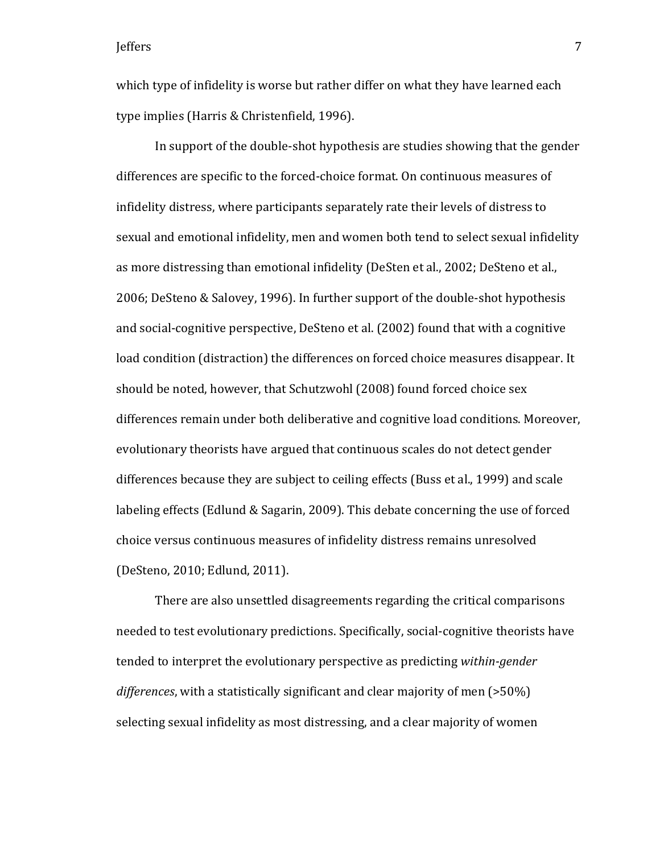which type of infidelity is worse but rather differ on what they have learned each type implies (Harris & Christenfield, 1996).

In support of the double-shot hypothesis are studies showing that the gender differences are specific to the forced-choice format. On continuous measures of infidelity distress, where participants separately rate their levels of distress to sexual and emotional infidelity, men and women both tend to select sexual infidelity as more distressing than emotional infidelity (DeSten et al., 2002; DeSteno et al., 2006; DeSteno & Salovey, 1996). In further support of the double-shot hypothesis and social-cognitive perspective, DeSteno et al. (2002) found that with a cognitive load condition (distraction) the differences on forced choice measures disappear. It should be noted, however, that Schutzwohl (2008) found forced choice sex differences remain under both deliberative and cognitive load conditions. Moreover, evolutionary theorists have argued that continuous scales do not detect gender differences because they are subject to ceiling effects (Buss et al., 1999) and scale labeling effects (Edlund & Sagarin, 2009). This debate concerning the use of forced choice versus continuous measures of infidelity distress remains unresolved (DeSteno, 2010; Edlund, 2011).

There are also unsettled disagreements regarding the critical comparisons needed to test evolutionary predictions. Specifically, social-cognitive theorists have tended to interpret the evolutionary perspective as predicting *within-gender differences*, with a statistically significant and clear majority of men (>50%) selecting sexual infidelity as most distressing, and a clear majority of women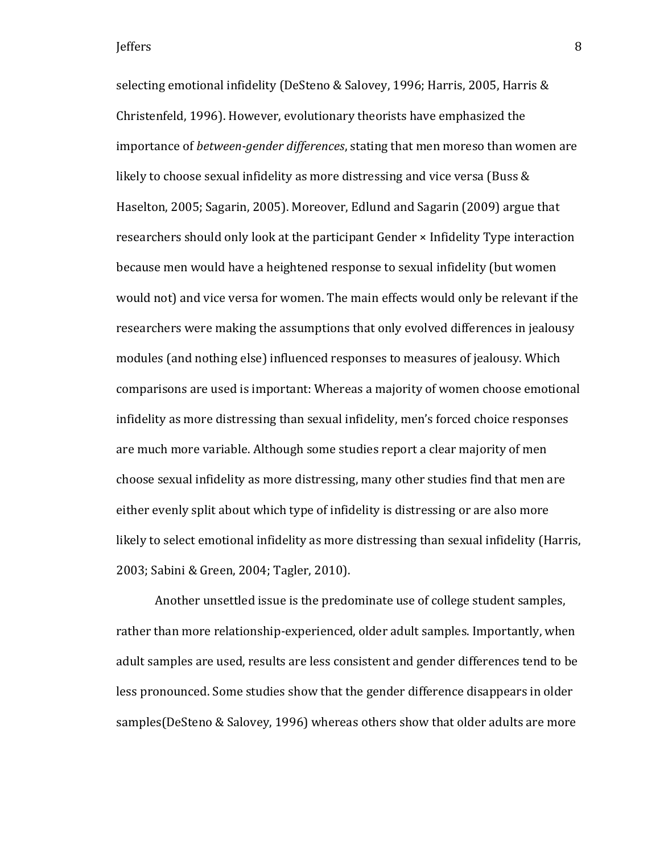selecting emotional infidelity (DeSteno & Salovey, 1996; Harris, 2005, Harris & Christenfeld, 1996). However, evolutionary theorists have emphasized the importance of *between-gender differences*, stating that men moreso than women are likely to choose sexual infidelity as more distressing and vice versa (Buss & Haselton, 2005; Sagarin, 2005). Moreover, Edlund and Sagarin (2009) argue that researchers should only look at the participant Gender × Infidelity Type interaction because men would have a heightened response to sexual infidelity (but women would not) and vice versa for women. The main effects would only be relevant if the researchers were making the assumptions that only evolved differences in jealousy modules (and nothing else) influenced responses to measures of jealousy. Which comparisons are used is important: Whereas a majority of women choose emotional infidelity as more distressing than sexual infidelity, men's forced choice responses are much more variable. Although some studies report a clear majority of men choose sexual infidelity as more distressing, many other studies find that men are either evenly split about which type of infidelity is distressing or are also more likely to select emotional infidelity as more distressing than sexual infidelity (Harris, 2003; Sabini & Green, 2004; Tagler, 2010).

Another unsettled issue is the predominate use of college student samples, rather than more relationship-experienced, older adult samples. Importantly, when adult samples are used, results are less consistent and gender differences tend to be less pronounced. Some studies show that the gender difference disappears in older samples(DeSteno & Salovey, 1996) whereas others show that older adults are more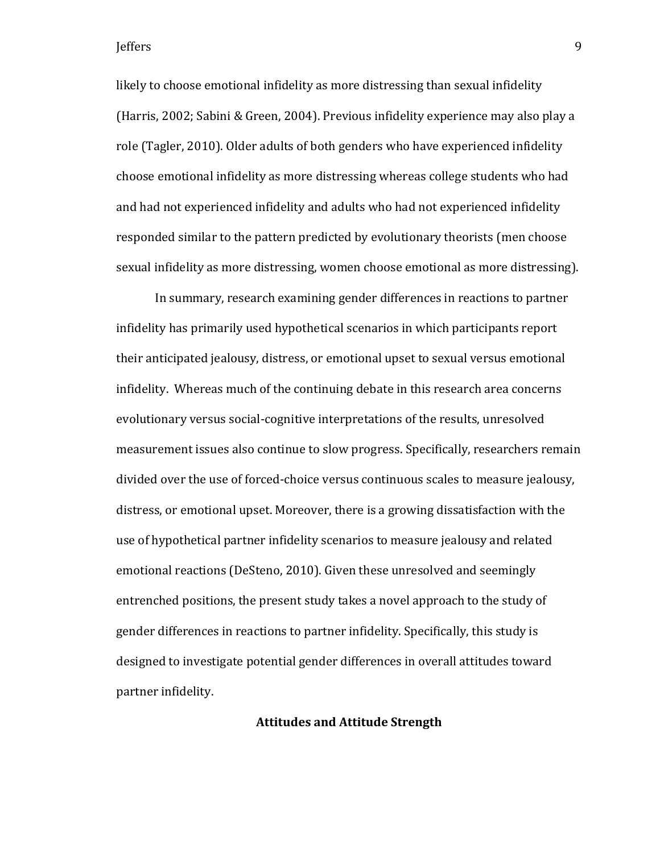likely to choose emotional infidelity as more distressing than sexual infidelity (Harris, 2002; Sabini & Green, 2004). Previous infidelity experience may also play a role (Tagler, 2010). Older adults of both genders who have experienced infidelity choose emotional infidelity as more distressing whereas college students who had and had not experienced infidelity and adults who had not experienced infidelity responded similar to the pattern predicted by evolutionary theorists (men choose sexual infidelity as more distressing, women choose emotional as more distressing).

In summary, research examining gender differences in reactions to partner infidelity has primarily used hypothetical scenarios in which participants report their anticipated jealousy, distress, or emotional upset to sexual versus emotional infidelity. Whereas much of the continuing debate in this research area concerns evolutionary versus social-cognitive interpretations of the results, unresolved measurement issues also continue to slow progress. Specifically, researchers remain divided over the use of forced-choice versus continuous scales to measure jealousy, distress, or emotional upset. Moreover, there is a growing dissatisfaction with the use of hypothetical partner infidelity scenarios to measure jealousy and related emotional reactions (DeSteno, 2010). Given these unresolved and seemingly entrenched positions, the present study takes a novel approach to the study of gender differences in reactions to partner infidelity. Specifically, this study is designed to investigate potential gender differences in overall attitudes toward partner infidelity.

### **Attitudes and Attitude Strength**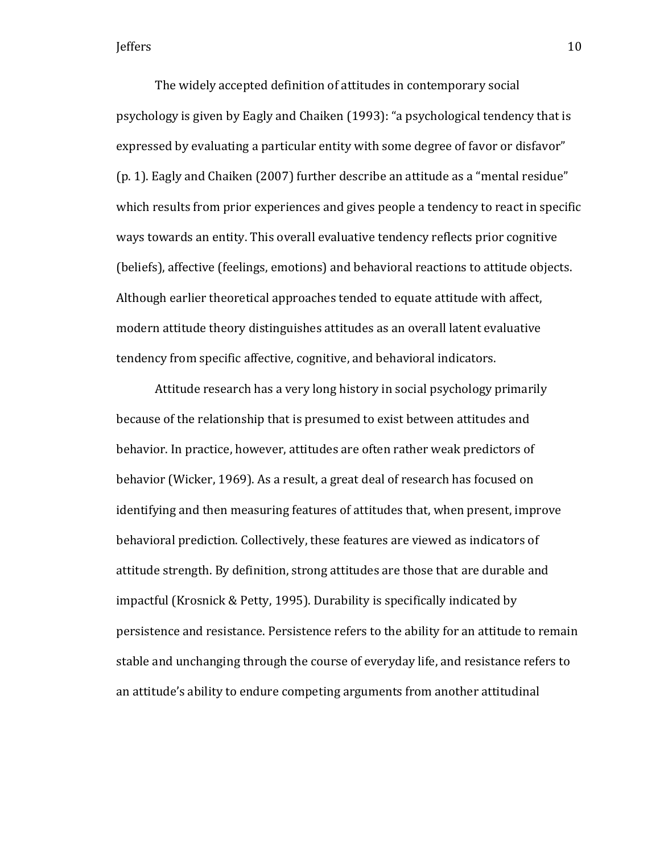The widely accepted definition of attitudes in contemporary social psychology is given by Eagly and Chaiken (1993): "a psychological tendency that is expressed by evaluating a particular entity with some degree of favor or disfavor" (p. 1). Eagly and Chaiken (2007) further describe an attitude as a "mental residue" which results from prior experiences and gives people a tendency to react in specific ways towards an entity. This overall evaluative tendency reflects prior cognitive (beliefs), affective (feelings, emotions) and behavioral reactions to attitude objects. Although earlier theoretical approaches tended to equate attitude with affect, modern attitude theory distinguishes attitudes as an overall latent evaluative tendency from specific affective, cognitive, and behavioral indicators.

Attitude research has a very long history in social psychology primarily because of the relationship that is presumed to exist between attitudes and behavior. In practice, however, attitudes are often rather weak predictors of behavior (Wicker, 1969). As a result, a great deal of research has focused on identifying and then measuring features of attitudes that, when present, improve behavioral prediction. Collectively, these features are viewed as indicators of attitude strength. By definition, strong attitudes are those that are durable and impactful (Krosnick & Petty, 1995). Durability is specifically indicated by persistence and resistance. Persistence refers to the ability for an attitude to remain stable and unchanging through the course of everyday life, and resistance refers to an attitude's ability to endure competing arguments from another attitudinal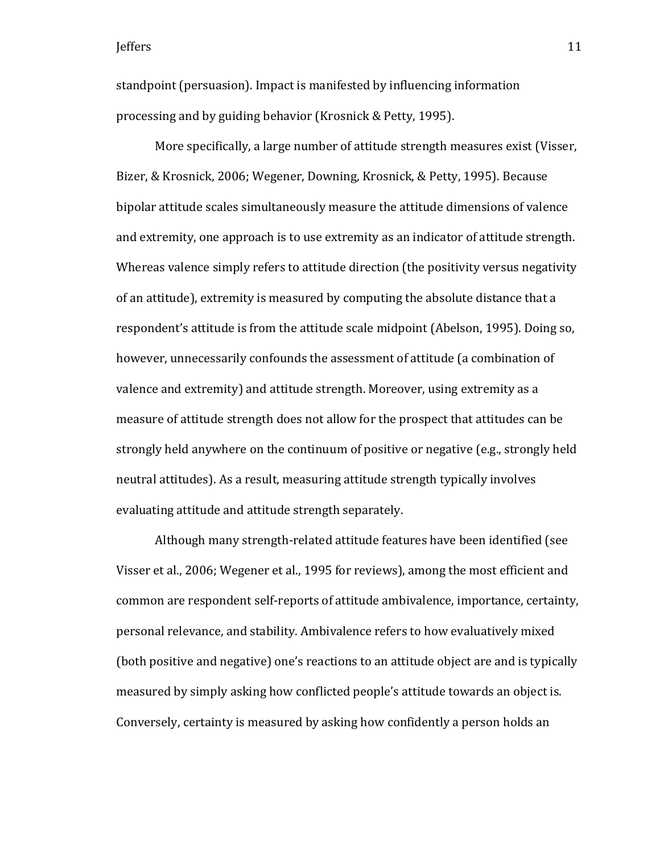standpoint (persuasion). Impact is manifested by influencing information processing and by guiding behavior (Krosnick & Petty, 1995).

More specifically, a large number of attitude strength measures exist (Visser, Bizer, & Krosnick, 2006; Wegener, Downing, Krosnick, & Petty, 1995). Because bipolar attitude scales simultaneously measure the attitude dimensions of valence and extremity, one approach is to use extremity as an indicator of attitude strength. Whereas valence simply refers to attitude direction (the positivity versus negativity of an attitude), extremity is measured by computing the absolute distance that a respondent's attitude is from the attitude scale midpoint (Abelson, 1995). Doing so, however, unnecessarily confounds the assessment of attitude (a combination of valence and extremity) and attitude strength. Moreover, using extremity as a measure of attitude strength does not allow for the prospect that attitudes can be strongly held anywhere on the continuum of positive or negative (e.g., strongly held neutral attitudes). As a result, measuring attitude strength typically involves evaluating attitude and attitude strength separately.

Although many strength-related attitude features have been identified (see Visser et al., 2006; Wegener et al., 1995 for reviews), among the most efficient and common are respondent self-reports of attitude ambivalence, importance, certainty, personal relevance, and stability. Ambivalence refers to how evaluatively mixed (both positive and negative) one's reactions to an attitude object are and is typically measured by simply asking how conflicted people's attitude towards an object is. Conversely, certainty is measured by asking how confidently a person holds an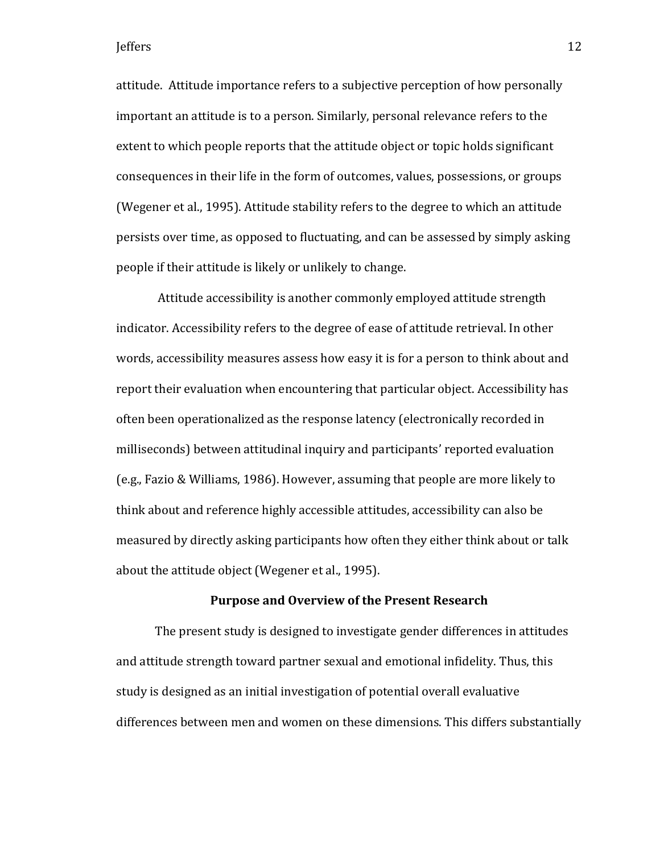attitude. Attitude importance refers to a subjective perception of how personally important an attitude is to a person. Similarly, personal relevance refers to the extent to which people reports that the attitude object or topic holds significant consequences in their life in the form of outcomes, values, possessions, or groups (Wegener et al., 1995). Attitude stability refers to the degree to which an attitude persists over time, as opposed to fluctuating, and can be assessed by simply asking people if their attitude is likely or unlikely to change.

Attitude accessibility is another commonly employed attitude strength indicator. Accessibility refers to the degree of ease of attitude retrieval. In other words, accessibility measures assess how easy it is for a person to think about and report their evaluation when encountering that particular object. Accessibility has often been operationalized as the response latency (electronically recorded in milliseconds) between attitudinal inquiry and participants' reported evaluation (e.g., Fazio & Williams, 1986). However, assuming that people are more likely to think about and reference highly accessible attitudes, accessibility can also be measured by directly asking participants how often they either think about or talk about the attitude object (Wegener et al., 1995).

#### **Purpose and Overview of the Present Research**

The present study is designed to investigate gender differences in attitudes and attitude strength toward partner sexual and emotional infidelity. Thus, this study is designed as an initial investigation of potential overall evaluative differences between men and women on these dimensions. This differs substantially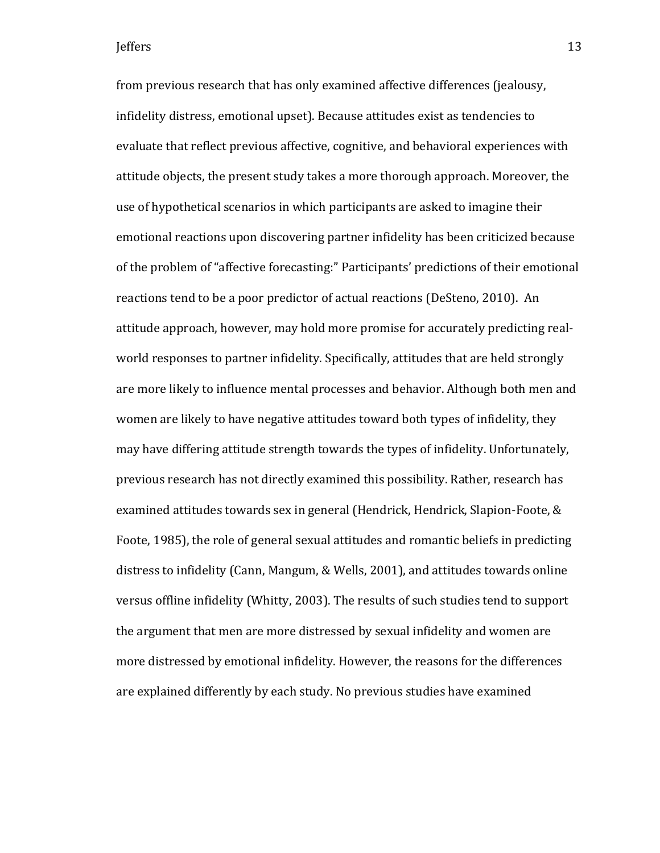from previous research that has only examined affective differences (jealousy, infidelity distress, emotional upset). Because attitudes exist as tendencies to evaluate that reflect previous affective, cognitive, and behavioral experiences with attitude objects, the present study takes a more thorough approach. Moreover, the use of hypothetical scenarios in which participants are asked to imagine their emotional reactions upon discovering partner infidelity has been criticized because of the problem of "affective forecasting:" Participants' predictions of their emotional reactions tend to be a poor predictor of actual reactions (DeSteno, 2010). An attitude approach, however, may hold more promise for accurately predicting realworld responses to partner infidelity. Specifically, attitudes that are held strongly are more likely to influence mental processes and behavior. Although both men and women are likely to have negative attitudes toward both types of infidelity, they may have differing attitude strength towards the types of infidelity. Unfortunately, previous research has not directly examined this possibility. Rather, research has examined attitudes towards sex in general (Hendrick, Hendrick, Slapion-Foote, & Foote, 1985), the role of general sexual attitudes and romantic beliefs in predicting distress to infidelity (Cann, Mangum, & Wells, 2001), and attitudes towards online versus offline infidelity (Whitty, 2003). The results of such studies tend to support the argument that men are more distressed by sexual infidelity and women are more distressed by emotional infidelity. However, the reasons for the differences are explained differently by each study. No previous studies have examined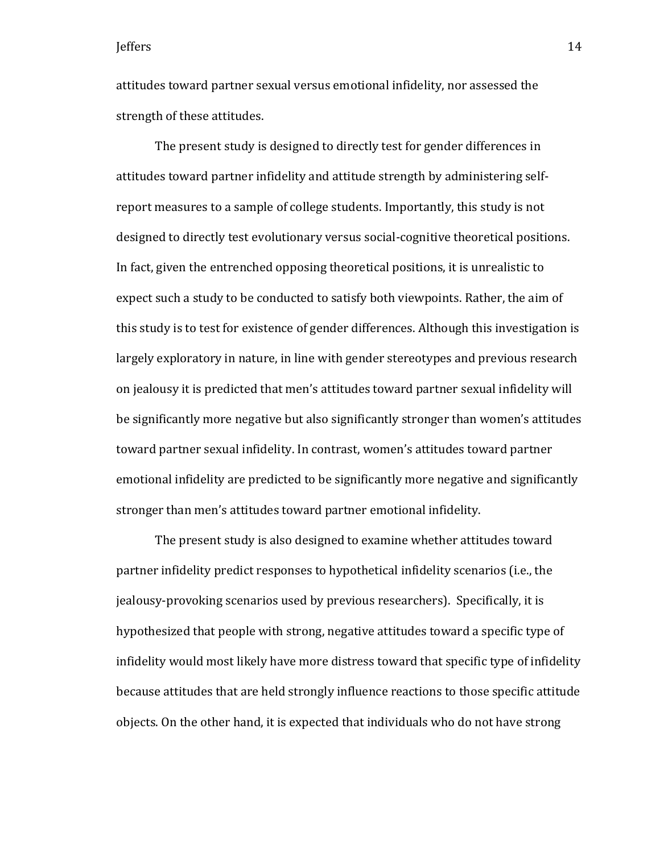attitudes toward partner sexual versus emotional infidelity, nor assessed the strength of these attitudes.

The present study is designed to directly test for gender differences in attitudes toward partner infidelity and attitude strength by administering selfreport measures to a sample of college students. Importantly, this study is not designed to directly test evolutionary versus social-cognitive theoretical positions. In fact, given the entrenched opposing theoretical positions, it is unrealistic to expect such a study to be conducted to satisfy both viewpoints. Rather, the aim of this study is to test for existence of gender differences. Although this investigation is largely exploratory in nature, in line with gender stereotypes and previous research on jealousy it is predicted that men's attitudes toward partner sexual infidelity will be significantly more negative but also significantly stronger than women's attitudes toward partner sexual infidelity. In contrast, women's attitudes toward partner emotional infidelity are predicted to be significantly more negative and significantly stronger than men's attitudes toward partner emotional infidelity.

The present study is also designed to examine whether attitudes toward partner infidelity predict responses to hypothetical infidelity scenarios (i.e., the jealousy-provoking scenarios used by previous researchers). Specifically, it is hypothesized that people with strong, negative attitudes toward a specific type of infidelity would most likely have more distress toward that specific type of infidelity because attitudes that are held strongly influence reactions to those specific attitude objects. On the other hand, it is expected that individuals who do not have strong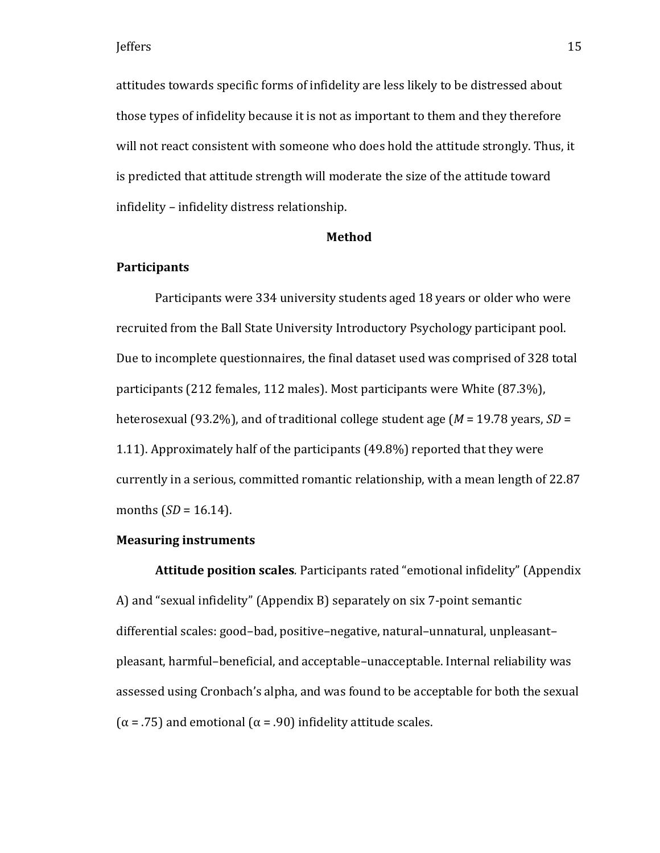attitudes towards specific forms of infidelity are less likely to be distressed about those types of infidelity because it is not as important to them and they therefore will not react consistent with someone who does hold the attitude strongly. Thus, it is predicted that attitude strength will moderate the size of the attitude toward infidelity – infidelity distress relationship.

#### **Method**

### **Participants**

Participants were 334 university students aged 18 years or older who were recruited from the Ball State University Introductory Psychology participant pool. Due to incomplete questionnaires, the final dataset used was comprised of 328 total participants (212 females, 112 males). Most participants were White (87.3%), heterosexual (93.2%), and of traditional college student age (*M* = 19.78 years, *SD* = 1.11). Approximately half of the participants (49.8%) reported that they were currently in a serious, committed romantic relationship, with a mean length of 22.87 months  $(SD = 16.14)$ .

#### **Measuring instruments**

**Attitude position scales***.* Participants rated "emotional infidelity" (Appendix A) and "sexual infidelity" (Appendix B) separately on six 7-point semantic differential scales: good–bad, positive–negative, natural–unnatural, unpleasant– pleasant, harmful–beneficial, and acceptable–unacceptable. Internal reliability was assessed using Cronbach's alpha, and was found to be acceptable for both the sexual ( $\alpha$  = .75) and emotional ( $\alpha$  = .90) infidelity attitude scales.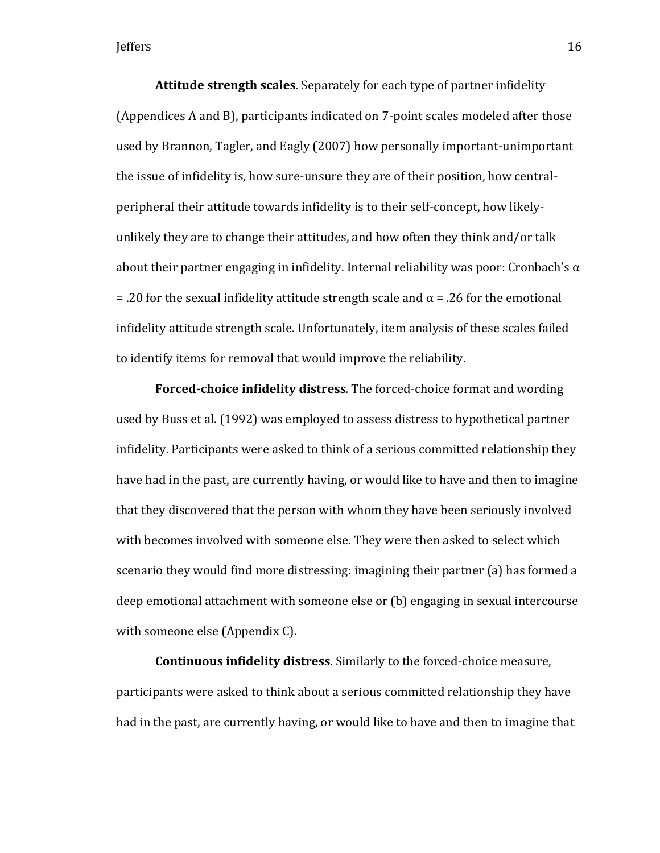**Attitude strength scales***.* Separately for each type of partner infidelity (Appendices A and B), participants indicated on 7-point scales modeled after those used by Brannon, Tagler, and Eagly (2007) how personally important-unimportant the issue of infidelity is, how sure-unsure they are of their position, how centralperipheral their attitude towards infidelity is to their self-concept, how likelyunlikely they are to change their attitudes, and how often they think and/or talk about their partner engaging in infidelity. Internal reliability was poor: Cronbach's  $\alpha$ = .20 for the sexual infidelity attitude strength scale and  $\alpha$  = .26 for the emotional infidelity attitude strength scale. Unfortunately, item analysis of these scales failed to identify items for removal that would improve the reliability.

**Forced-choice infidelity distress***.* The forced-choice format and wording used by Buss et al. (1992) was employed to assess distress to hypothetical partner infidelity. Participants were asked to think of a serious committed relationship they have had in the past, are currently having, or would like to have and then to imagine that they discovered that the person with whom they have been seriously involved with becomes involved with someone else. They were then asked to select which scenario they would find more distressing: imagining their partner (a) has formed a deep emotional attachment with someone else or (b) engaging in sexual intercourse with someone else (Appendix C).

**Continuous infidelity distress***.* Similarly to the forced-choice measure, participants were asked to think about a serious committed relationship they have had in the past, are currently having, or would like to have and then to imagine that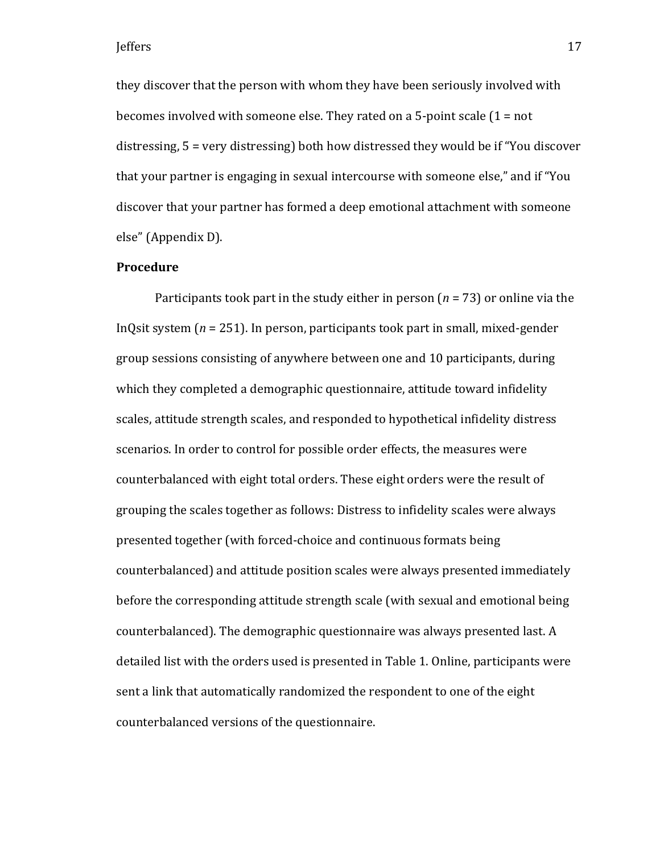they discover that the person with whom they have been seriously involved with becomes involved with someone else. They rated on a 5-point scale (1 = not distressing, 5 = very distressing) both how distressed they would be if "You discover that your partner is engaging in sexual intercourse with someone else," and if "You discover that your partner has formed a deep emotional attachment with someone else" (Appendix D).

### **Procedure**

Participants took part in the study either in person (*n* = 73) or online via the InQsit system (*n* = 251). In person, participants took part in small, mixed-gender group sessions consisting of anywhere between one and 10 participants, during which they completed a demographic questionnaire, attitude toward infidelity scales, attitude strength scales, and responded to hypothetical infidelity distress scenarios. In order to control for possible order effects, the measures were counterbalanced with eight total orders. These eight orders were the result of grouping the scales together as follows: Distress to infidelity scales were always presented together (with forced-choice and continuous formats being counterbalanced) and attitude position scales were always presented immediately before the corresponding attitude strength scale (with sexual and emotional being counterbalanced). The demographic questionnaire was always presented last. A detailed list with the orders used is presented in Table 1. Online, participants were sent a link that automatically randomized the respondent to one of the eight counterbalanced versions of the questionnaire.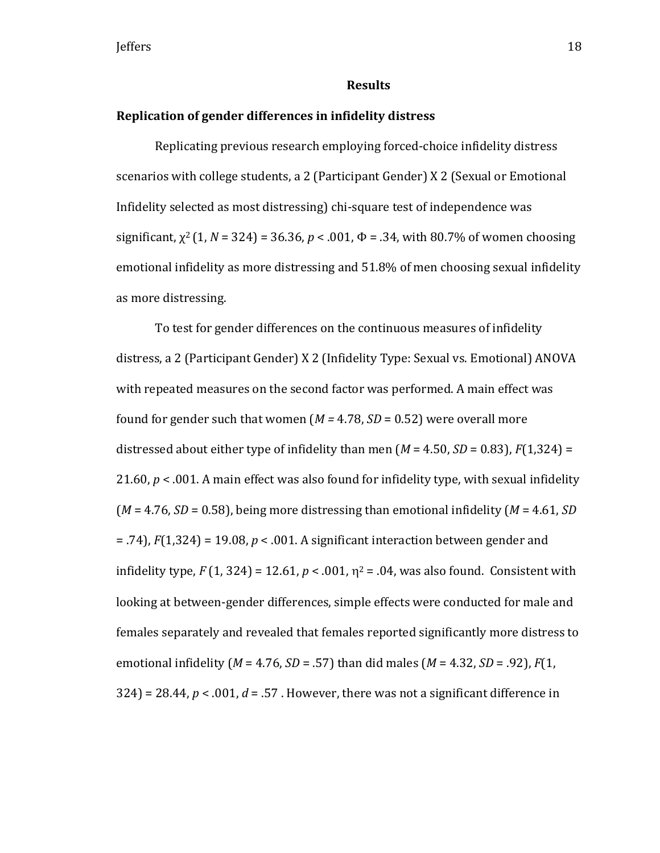#### **Results**

### **Replication of gender differences in infidelity distress**

Replicating previous research employing forced-choice infidelity distress scenarios with college students, a 2 (Participant Gender) X 2 (Sexual or Emotional Infidelity selected as most distressing) chi-square test of independence was significant,  $\chi^2$  (1, *N* = 324) = 36.36, *p* < .001,  $\Phi$  = .34, with 80.7% of women choosing emotional infidelity as more distressing and 51.8% of men choosing sexual infidelity as more distressing.

To test for gender differences on the continuous measures of infidelity distress, a 2 (Participant Gender) X 2 (Infidelity Type: Sexual vs. Emotional) ANOVA with repeated measures on the second factor was performed. A main effect was found for gender such that women ( $M = 4.78$ ,  $SD = 0.52$ ) were overall more distressed about either type of infidelity than men  $(M = 4.50, SD = 0.83)$ ,  $F(1,324) =$ 21.60, *p* < .001. A main effect was also found for infidelity type, with sexual infidelity (*M* = 4.76, *SD* = 0.58), being more distressing than emotional infidelity (*M* = 4.61, *SD* = .74), *F*(1,324) = 19.08, *p* < .001. A significant interaction between gender and infidelity type,  $F(1, 324) = 12.61$ ,  $p < .001$ ,  $p^2 = .04$ , was also found. Consistent with looking at between-gender differences, simple effects were conducted for male and females separately and revealed that females reported significantly more distress to emotional infidelity (*M* = 4.76, *SD* = .57) than did males (*M* = 4.32, *SD* = .92), *F*(1,  $324$ ) = 28.44,  $p < .001$ ,  $d = .57$ . However, there was not a significant difference in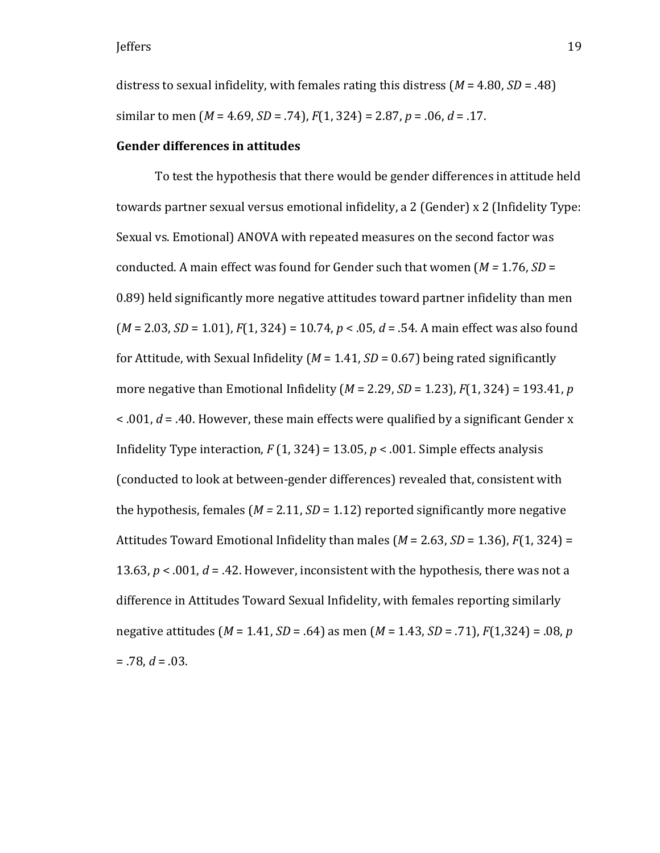distress to sexual infidelity, with females rating this distress (*M* = 4.80, *SD* = .48) similar to men (*M* = 4.69, *SD* = .74), *F*(1, 324) = 2.87, *p* = .06, *d* = .17.

#### **Gender differences in attitudes**

To test the hypothesis that there would be gender differences in attitude held towards partner sexual versus emotional infidelity, a 2 (Gender) x 2 (Infidelity Type: Sexual vs. Emotional) ANOVA with repeated measures on the second factor was conducted. A main effect was found for Gender such that women (*M =* 1.76, *SD* = 0.89) held significantly more negative attitudes toward partner infidelity than men (*M* = 2.03, *SD* = 1.01), *F*(1, 324) = 10.74, *p* < .05, *d* = .54. A main effect was also found for Attitude, with Sexual Infidelity ( $M = 1.41$ ,  $SD = 0.67$ ) being rated significantly more negative than Emotional Infidelity (*M* = 2.29, *SD* = 1.23), *F*(1, 324) = 193.41, *p*  < .001, *d* = .40. However, these main effects were qualified by a significant Gender x Infidelity Type interaction,  $F(1, 324) = 13.05$ ,  $p < .001$ . Simple effects analysis (conducted to look at between-gender differences) revealed that, consistent with the hypothesis, females ( $M = 2.11$ ,  $SD = 1.12$ ) reported significantly more negative Attitudes Toward Emotional Infidelity than males (*M* = 2.63, *SD* = 1.36), *F*(1, 324) = 13.63,  $p < .001$ ,  $d = .42$ . However, inconsistent with the hypothesis, there was not a difference in Attitudes Toward Sexual Infidelity, with females reporting similarly negative attitudes (*M* = 1.41, *SD* = .64) as men (*M* = 1.43, *SD* = .71), *F*(1,324) = .08, *p*  $= .78, d = .03.$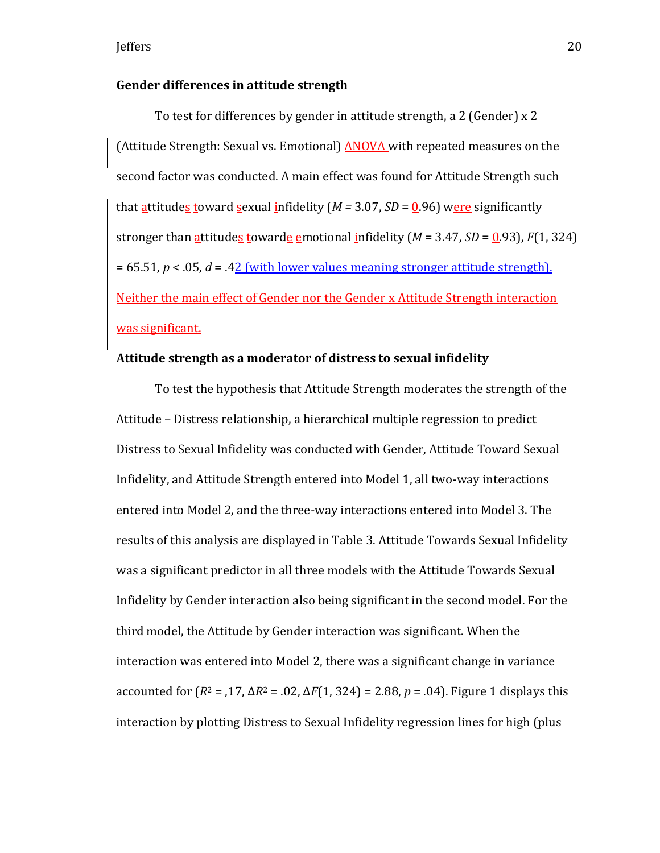### **Gender differences in attitude strength**

To test for differences by gender in attitude strength, a 2 (Gender) x 2 (Attitude Strength: Sexual vs. Emotional) **ANOVA** with repeated measures on the second factor was conducted. A main effect was found for Attitude Strength such that  $\frac{atitude_s}{down}$  toward  $\frac{se$ xual infidelity (*M* = 3.07, *SD* =  $0.96$ ) were significantlystronger than attitudes towarde emotional infidelity  $(M = 3.47, SD = 0.93)$ ,  $F(1, 324)$  $= 65.51, p < 0.05, d = 0.42$  (with lower values meaning stronger attitude strength). Neither the main effect of Gender nor the Gender x Attitude Strength interaction was significant.

### **Attitude strength as a moderator of distress to sexual infidelity**

To test the hypothesis that Attitude Strength moderates the strength of the Attitude – Distress relationship, a hierarchical multiple regression to predict Distress to Sexual Infidelity was conducted with Gender, Attitude Toward Sexual Infidelity, and Attitude Strength entered into Model 1, all two-way interactions entered into Model 2, and the three-way interactions entered into Model 3. The results of this analysis are displayed in Table 3. Attitude Towards Sexual Infidelity was a significant predictor in all three models with the Attitude Towards Sexual Infidelity by Gender interaction also being significant in the second model. For the third model, the Attitude by Gender interaction was significant. When the interaction was entered into Model 2, there was a significant change in variance accounted for (*R*<sup>2</sup> = ,17, Δ*R*<sup>2</sup> = .02, Δ*F*(1, 324) = 2.88, *p* = .04). Figure 1 displays this interaction by plotting Distress to Sexual Infidelity regression lines for high (plus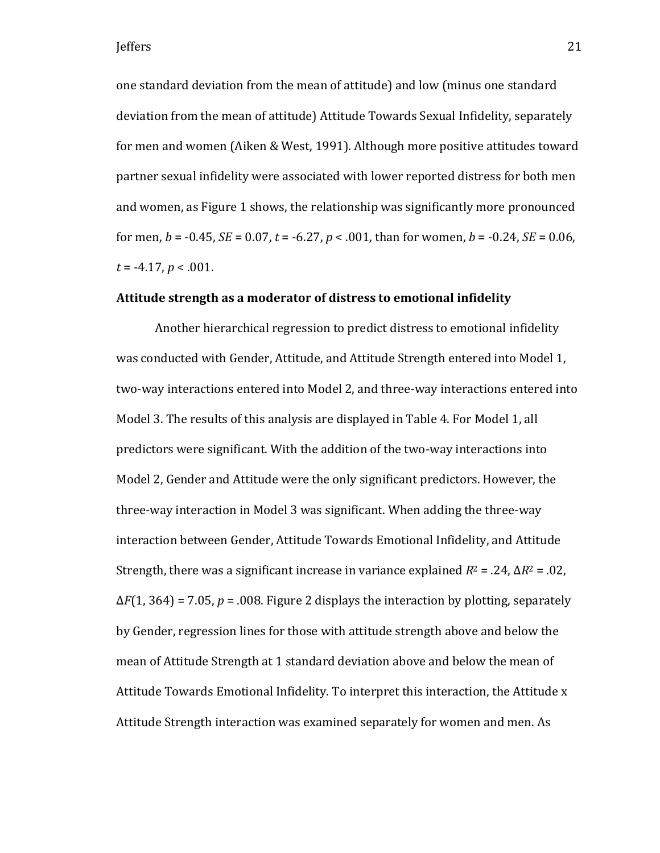one standard deviation from the mean of attitude) and low (minus one standard deviation from the mean of attitude) Attitude Towards Sexual Infidelity, separately for men and women (Aiken & West, 1991). Although more positive attitudes toward partner sexual infidelity were associated with lower reported distress for both men and women, as Figure 1 shows, the relationship was significantly more pronounced for men, *b* = -0.45, *SE* = 0.07, *t* = -6.27, *p* < .001, than for women, *b* = -0.24, *SE* = 0.06, *t* = -4.17, *p* < .001.

### **Attitude strength as a moderator of distress to emotional infidelity**

Another hierarchical regression to predict distress to emotional infidelity was conducted with Gender, Attitude, and Attitude Strength entered into Model 1, two-way interactions entered into Model 2, and three-way interactions entered into Model 3. The results of this analysis are displayed in Table 4. For Model 1, all predictors were significant. With the addition of the two-way interactions into Model 2, Gender and Attitude were the only significant predictors. However, the three-way interaction in Model 3 was significant. When adding the three-way interaction between Gender, Attitude Towards Emotional Infidelity, and Attitude Strength, there was a significant increase in variance explained  $R^2 = .24$ ,  $\Delta R^2 = .02$ ,  $\Delta F(1, 364) = 7.05$ ,  $p = .008$ . Figure 2 displays the interaction by plotting, separately by Gender, regression lines for those with attitude strength above and below the mean of Attitude Strength at 1 standard deviation above and below the mean of Attitude Towards Emotional Infidelity. To interpret this interaction, the Attitude x Attitude Strength interaction was examined separately for women and men. As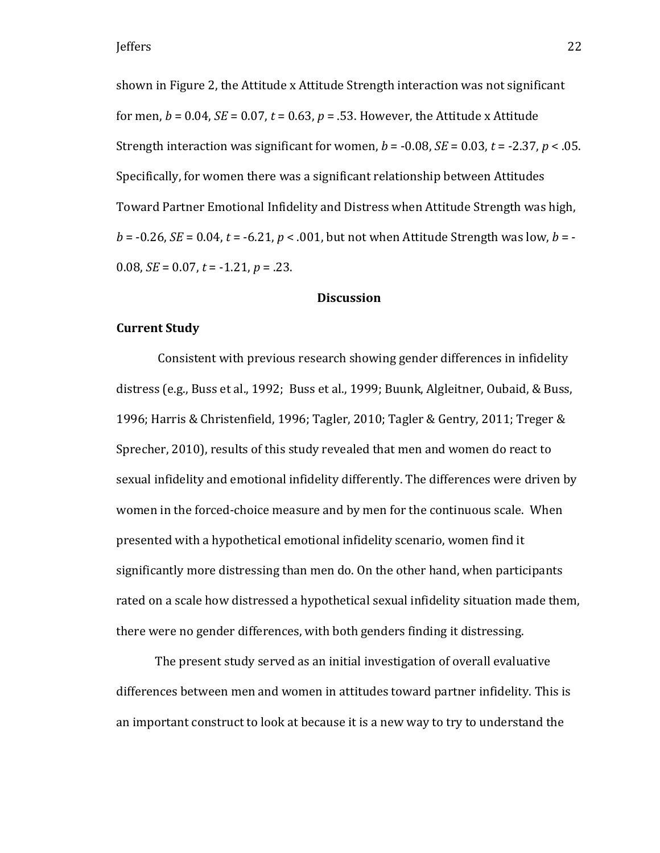shown in Figure 2, the Attitude x Attitude Strength interaction was not significant for men,  $b = 0.04$ ,  $SE = 0.07$ ,  $t = 0.63$ ,  $p = 0.53$ . However, the Attitude x Attitude Strength interaction was significant for women,  $b = -0.08$ ,  $SE = 0.03$ ,  $t = -2.37$ ,  $p < 0.05$ . Specifically, for women there was a significant relationship between Attitudes Toward Partner Emotional Infidelity and Distress when Attitude Strength was high,  $b = -0.26$ , *SE* = 0.04,  $t = -6.21$ ,  $p < .001$ , but not when Attitude Strength was low,  $b = -1$ 0.08, *SE* = 0.07, *t* = -1.21, *p* = .23.

### **Discussion**

#### **Current Study**

Consistent with previous research showing gender differences in infidelity distress (e.g., Buss et al., 1992; Buss et al., 1999; Buunk, Algleitner, Oubaid, & Buss, 1996; Harris & Christenfield, 1996; Tagler, 2010; Tagler & Gentry, 2011; Treger & Sprecher, 2010), results of this study revealed that men and women do react to sexual infidelity and emotional infidelity differently. The differences were driven by women in the forced-choice measure and by men for the continuous scale. When presented with a hypothetical emotional infidelity scenario, women find it significantly more distressing than men do. On the other hand, when participants rated on a scale how distressed a hypothetical sexual infidelity situation made them, there were no gender differences, with both genders finding it distressing.

The present study served as an initial investigation of overall evaluative differences between men and women in attitudes toward partner infidelity. This is an important construct to look at because it is a new way to try to understand the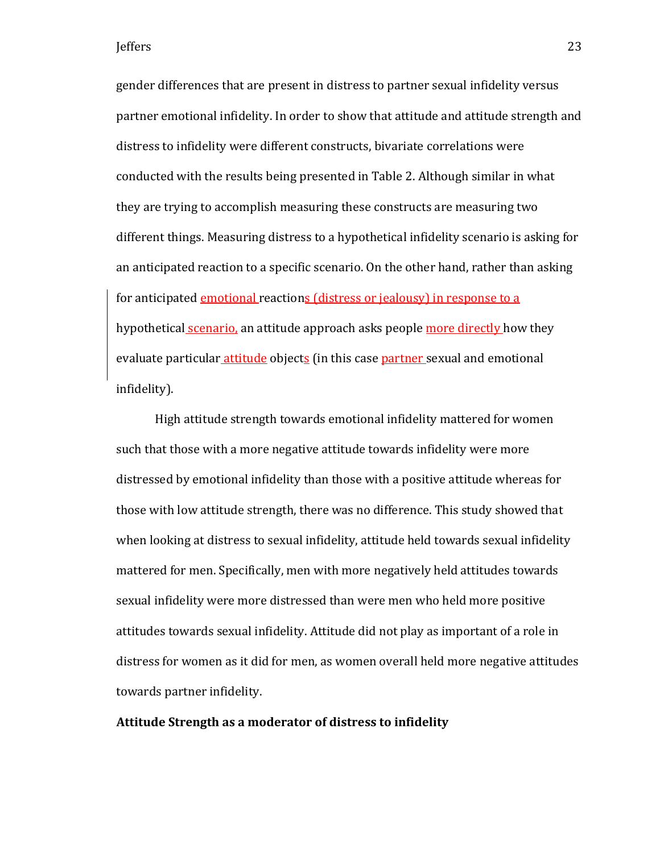gender differences that are present in distress to partner sexual infidelity versus partner emotional infidelity. In order to show that attitude and attitude strength and distress to infidelity were different constructs, bivariate correlations were conducted with the results being presented in Table 2. Although similar in what they are trying to accomplish measuring these constructs are measuring two different things. Measuring distress to a hypothetical infidelity scenario is asking for an anticipated reaction to a specific scenario. On the other hand, rather than asking for anticipated emotional reactions (distress or jealousy) in response to a hypothetical scenario, an attitude approach asks people more directly how they evaluate particular attitude objects (in this case partner sexual and emotional infidelity).

High attitude strength towards emotional infidelity mattered for women such that those with a more negative attitude towards infidelity were more distressed by emotional infidelity than those with a positive attitude whereas for those with low attitude strength, there was no difference. This study showed that when looking at distress to sexual infidelity, attitude held towards sexual infidelity mattered for men. Specifically, men with more negatively held attitudes towards sexual infidelity were more distressed than were men who held more positive attitudes towards sexual infidelity. Attitude did not play as important of a role in distress for women as it did for men, as women overall held more negative attitudes towards partner infidelity.

### **Attitude Strength as a moderator of distress to infidelity**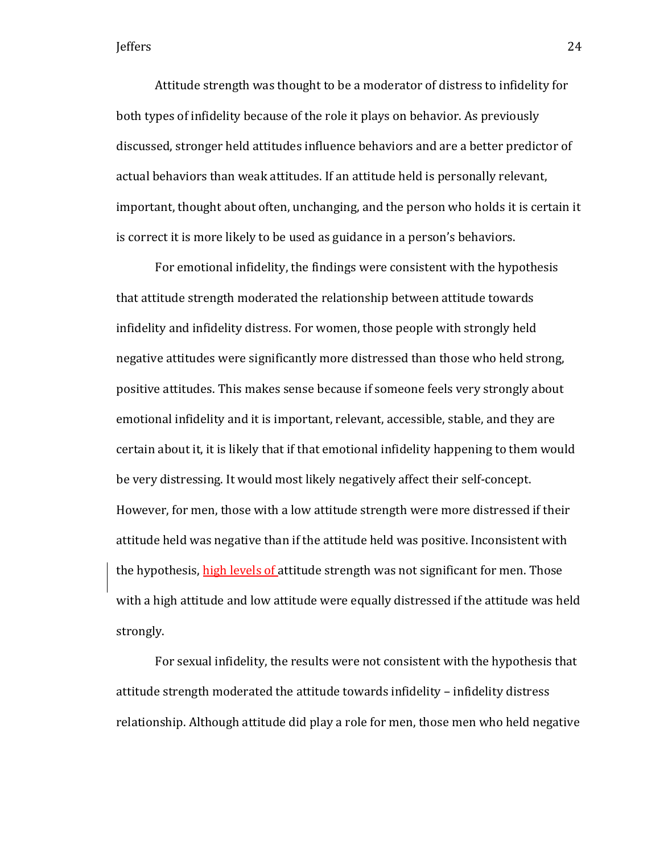Attitude strength was thought to be a moderator of distress to infidelity for both types of infidelity because of the role it plays on behavior. As previously discussed, stronger held attitudes influence behaviors and are a better predictor of actual behaviors than weak attitudes. If an attitude held is personally relevant, important, thought about often, unchanging, and the person who holds it is certain it is correct it is more likely to be used as guidance in a person's behaviors.

For emotional infidelity, the findings were consistent with the hypothesis that attitude strength moderated the relationship between attitude towards infidelity and infidelity distress. For women, those people with strongly held negative attitudes were significantly more distressed than those who held strong, positive attitudes. This makes sense because if someone feels very strongly about emotional infidelity and it is important, relevant, accessible, stable, and they are certain about it, it is likely that if that emotional infidelity happening to them would be very distressing. It would most likely negatively affect their self-concept. However, for men, those with a low attitude strength were more distressed if their attitude held was negative than if the attitude held was positive. Inconsistent with the hypothesis, high levels of attitude strength was not significant for men. Those with a high attitude and low attitude were equally distressed if the attitude was held strongly.

For sexual infidelity, the results were not consistent with the hypothesis that attitude strength moderated the attitude towards infidelity – infidelity distress relationship. Although attitude did play a role for men, those men who held negative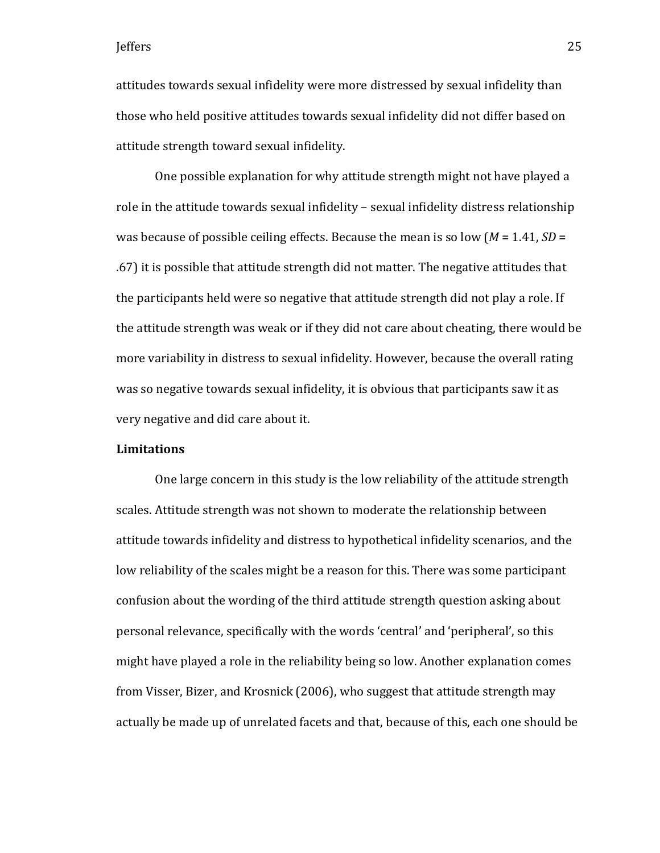attitudes towards sexual infidelity were more distressed by sexual infidelity than those who held positive attitudes towards sexual infidelity did not differ based on attitude strength toward sexual infidelity.

One possible explanation for why attitude strength might not have played a role in the attitude towards sexual infidelity – sexual infidelity distress relationship was because of possible ceiling effects. Because the mean is so low (*M* = 1.41, *SD* = .67) it is possible that attitude strength did not matter. The negative attitudes that the participants held were so negative that attitude strength did not play a role. If the attitude strength was weak or if they did not care about cheating, there would be more variability in distress to sexual infidelity. However, because the overall rating was so negative towards sexual infidelity, it is obvious that participants saw it as very negative and did care about it.

### **Limitations**

One large concern in this study is the low reliability of the attitude strength scales. Attitude strength was not shown to moderate the relationship between attitude towards infidelity and distress to hypothetical infidelity scenarios, and the low reliability of the scales might be a reason for this. There was some participant confusion about the wording of the third attitude strength question asking about personal relevance, specifically with the words 'central' and 'peripheral', so this might have played a role in the reliability being so low. Another explanation comes from Visser, Bizer, and Krosnick (2006), who suggest that attitude strength may actually be made up of unrelated facets and that, because of this, each one should be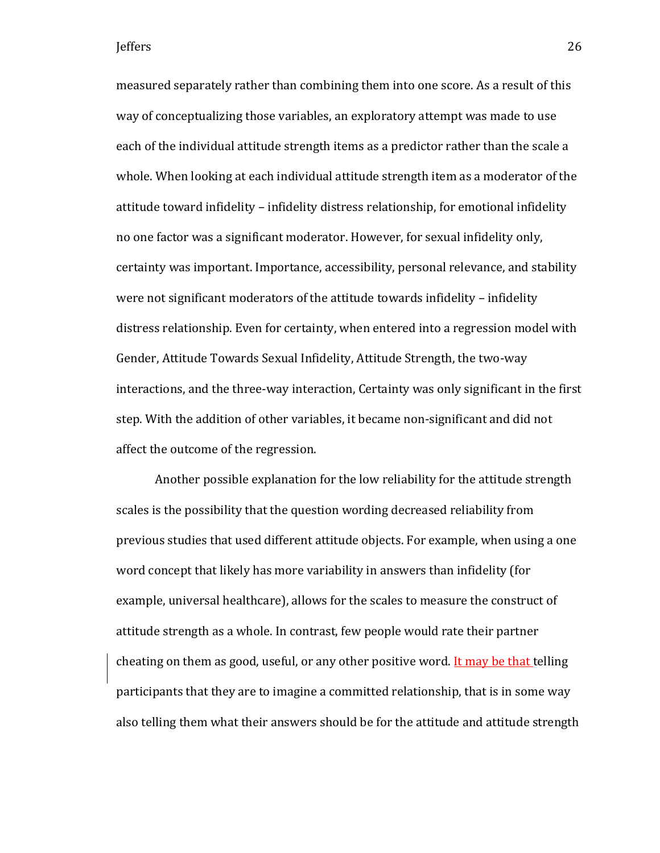measured separately rather than combining them into one score. As a result of this way of conceptualizing those variables, an exploratory attempt was made to use each of the individual attitude strength items as a predictor rather than the scale a whole. When looking at each individual attitude strength item as a moderator of the attitude toward infidelity – infidelity distress relationship, for emotional infidelity no one factor was a significant moderator. However, for sexual infidelity only, certainty was important. Importance, accessibility, personal relevance, and stability were not significant moderators of the attitude towards infidelity – infidelity distress relationship. Even for certainty, when entered into a regression model with Gender, Attitude Towards Sexual Infidelity, Attitude Strength, the two-way interactions, and the three-way interaction, Certainty was only significant in the first step. With the addition of other variables, it became non-significant and did not affect the outcome of the regression.

Another possible explanation for the low reliability for the attitude strength scales is the possibility that the question wording decreased reliability from previous studies that used different attitude objects. For example, when using a one word concept that likely has more variability in answers than infidelity (for example, universal healthcare), allows for the scales to measure the construct of attitude strength as a whole. In contrast, few people would rate their partner cheating on them as good, useful, or any other positive word. It may be that telling participants that they are to imagine a committed relationship, that is in some way also telling them what their answers should be for the attitude and attitude strength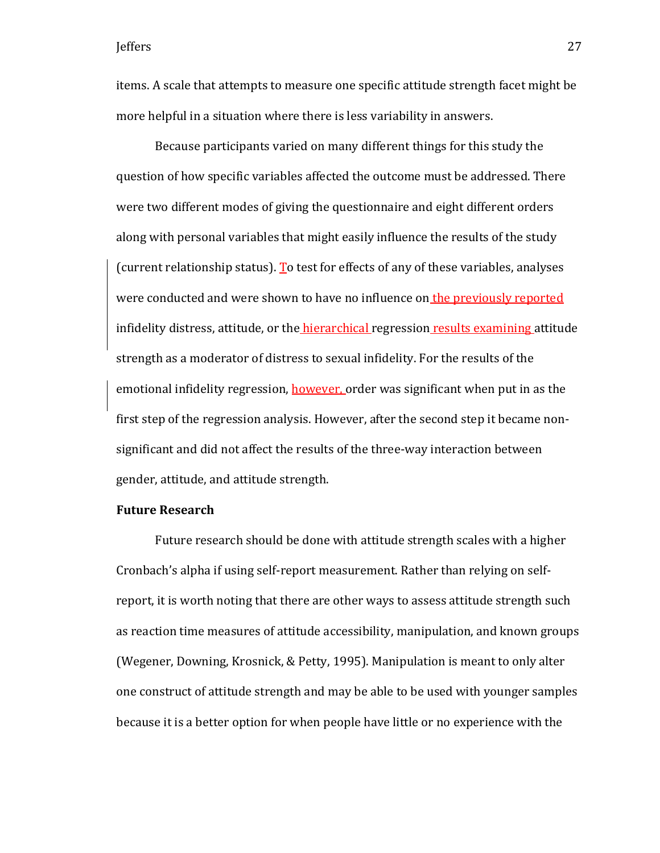items. A scale that attempts to measure one specific attitude strength facet might be more helpful in a situation where there is less variability in answers.

Because participants varied on many different things for this study the question of how specific variables affected the outcome must be addressed. There were two different modes of giving the questionnaire and eight different orders along with personal variables that might easily influence the results of the study (current relationship status). To test for effects of any of these variables, analyses were conducted and were shown to have no influence on the previously reported infidelity distress, attitude, or the *hierarchical* regression results examining attitude strength as a moderator of distress to sexual infidelity. For the results of the emotional infidelity regression, however, order was significant when put in as the first step of the regression analysis. However, after the second step it became nonsignificant and did not affect the results of the three-way interaction between gender, attitude, and attitude strength.

### **Future Research**

Future research should be done with attitude strength scales with a higher Cronbach's alpha if using self-report measurement. Rather than relying on selfreport, it is worth noting that there are other ways to assess attitude strength such as reaction time measures of attitude accessibility, manipulation, and known groups (Wegener, Downing, Krosnick, & Petty, 1995). Manipulation is meant to only alter one construct of attitude strength and may be able to be used with younger samples because it is a better option for when people have little or no experience with the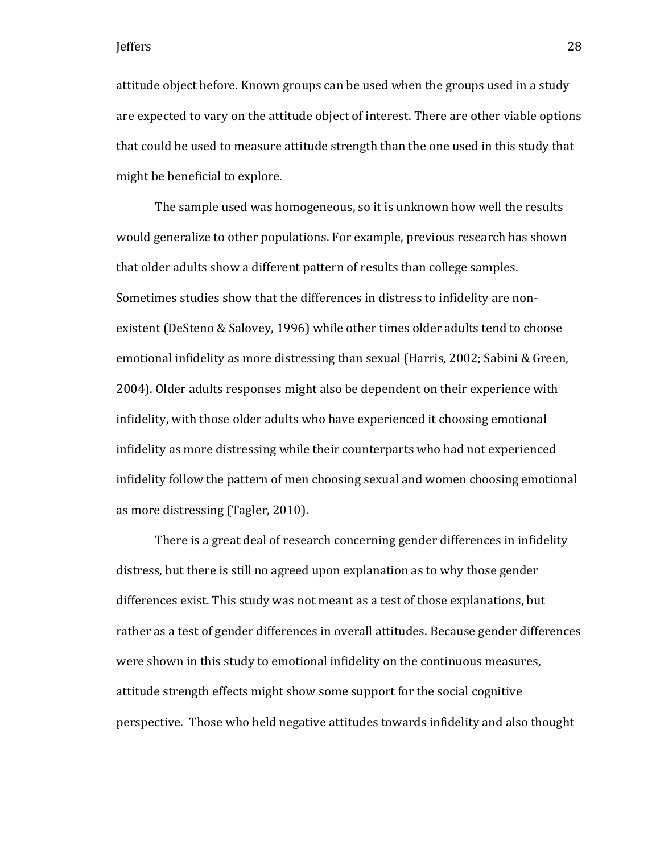attitude object before. Known groups can be used when the groups used in a study are expected to vary on the attitude object of interest. There are other viable options that could be used to measure attitude strength than the one used in this study that might be beneficial to explore.

The sample used was homogeneous, so it is unknown how well the results would generalize to other populations. For example, previous research has shown that older adults show a different pattern of results than college samples. Sometimes studies show that the differences in distress to infidelity are nonexistent (DeSteno & Salovey, 1996) while other times older adults tend to choose emotional infidelity as more distressing than sexual (Harris, 2002; Sabini & Green, 2004). Older adults responses might also be dependent on their experience with infidelity, with those older adults who have experienced it choosing emotional infidelity as more distressing while their counterparts who had not experienced infidelity follow the pattern of men choosing sexual and women choosing emotional as more distressing (Tagler, 2010).

There is a great deal of research concerning gender differences in infidelity distress, but there is still no agreed upon explanation as to why those gender differences exist. This study was not meant as a test of those explanations, but rather as a test of gender differences in overall attitudes. Because gender differences were shown in this study to emotional infidelity on the continuous measures, attitude strength effects might show some support for the social cognitive perspective. Those who held negative attitudes towards infidelity and also thought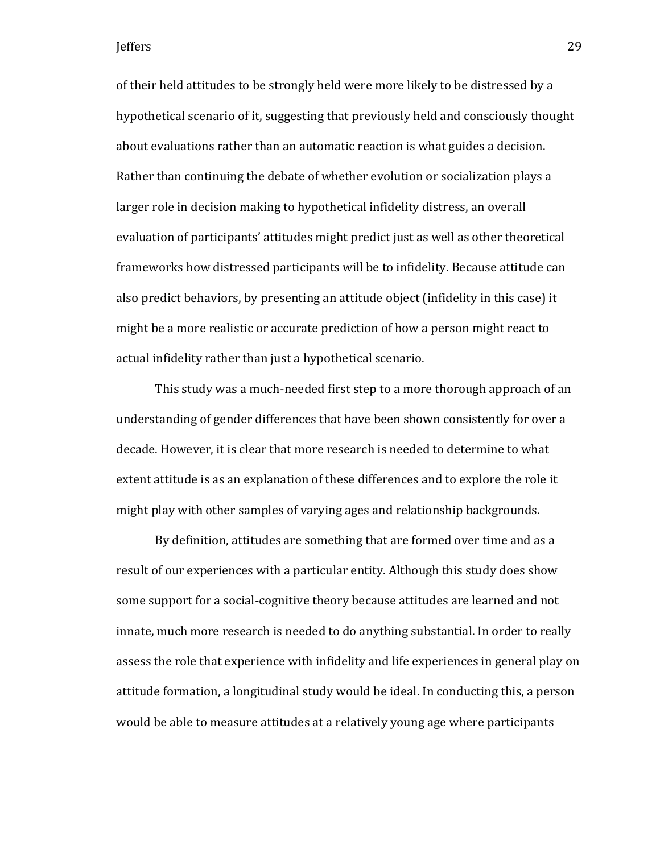of their held attitudes to be strongly held were more likely to be distressed by a hypothetical scenario of it, suggesting that previously held and consciously thought about evaluations rather than an automatic reaction is what guides a decision. Rather than continuing the debate of whether evolution or socialization plays a larger role in decision making to hypothetical infidelity distress, an overall evaluation of participants' attitudes might predict just as well as other theoretical frameworks how distressed participants will be to infidelity. Because attitude can also predict behaviors, by presenting an attitude object (infidelity in this case) it might be a more realistic or accurate prediction of how a person might react to actual infidelity rather than just a hypothetical scenario.

This study was a much-needed first step to a more thorough approach of an understanding of gender differences that have been shown consistently for over a decade. However, it is clear that more research is needed to determine to what extent attitude is as an explanation of these differences and to explore the role it might play with other samples of varying ages and relationship backgrounds.

By definition, attitudes are something that are formed over time and as a result of our experiences with a particular entity. Although this study does show some support for a social-cognitive theory because attitudes are learned and not innate, much more research is needed to do anything substantial. In order to really assess the role that experience with infidelity and life experiences in general play on attitude formation, a longitudinal study would be ideal. In conducting this, a person would be able to measure attitudes at a relatively young age where participants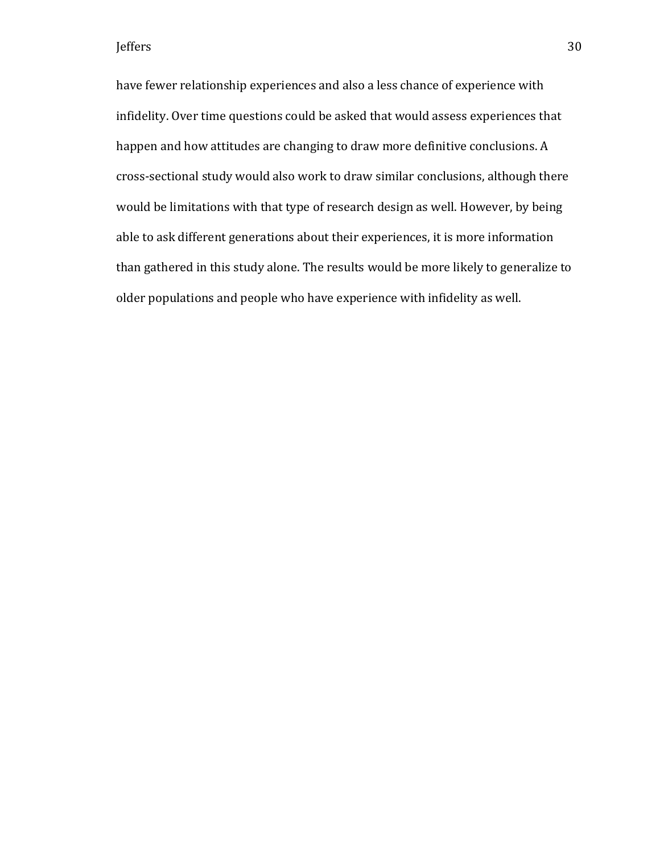have fewer relationship experiences and also a less chance of experience with infidelity. Over time questions could be asked that would assess experiences that happen and how attitudes are changing to draw more definitive conclusions. A cross-sectional study would also work to draw similar conclusions, although there would be limitations with that type of research design as well. However, by being able to ask different generations about their experiences, it is more information than gathered in this study alone. The results would be more likely to generalize to older populations and people who have experience with infidelity as well.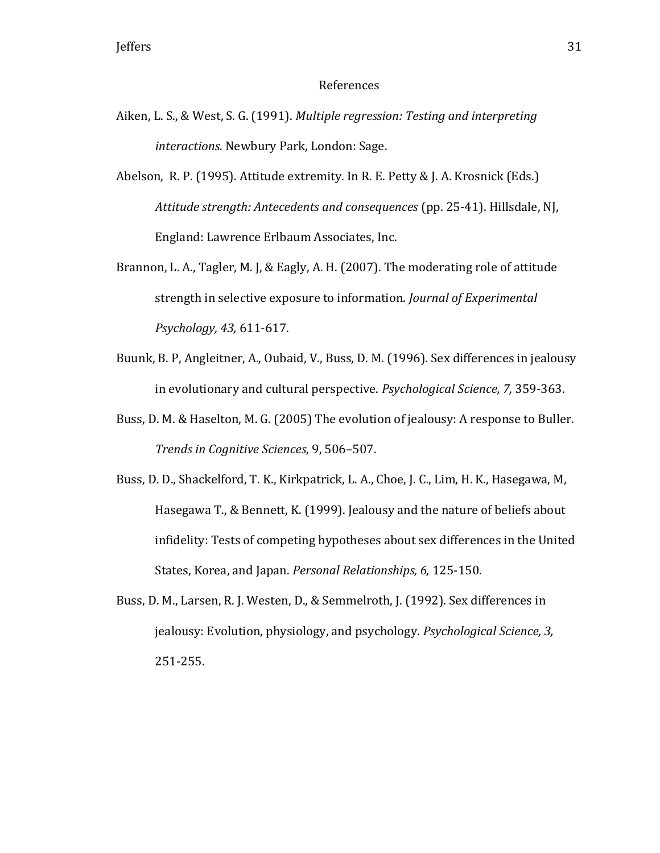#### References

- Aiken, L. S., & West, S. G. (1991). *Multiple regression: Testing and interpreting interactions.* Newbury Park, London: Sage.
- Abelson, R. P. (1995). Attitude extremity. In R. E. Petty & J. A. Krosnick (Eds.) *Attitude strength: Antecedents and consequences* (pp. 25-41). Hillsdale, NJ, England: Lawrence Erlbaum Associates, Inc.
- Brannon, L. A., Tagler, M. J, & Eagly, A. H. (2007). The moderating role of attitude strength in selective exposure to information. *Journal of Experimental Psychology, 43,* 611-617.
- Buunk, B. P, Angleitner, A., Oubaid, V., Buss, D. M. (1996). Sex differences in jealousy in evolutionary and cultural perspective. *Psychological Science, 7,* 359-363.
- Buss, D. M. & Haselton, M. G. (2005) The evolution of jealousy: A response to Buller. *Trends in Cognitive Sciences*, 9, 506–507.
- Buss, D. D., Shackelford, T. K., Kirkpatrick, L. A., Choe, J. C., Lim, H. K., Hasegawa, M, Hasegawa T., & Bennett, K. (1999). Jealousy and the nature of beliefs about infidelity: Tests of competing hypotheses about sex differences in the United States, Korea, and Japan. *Personal Relationships, 6,* 125-150.
- Buss, D. M., Larsen, R. J. Westen, D., & Semmelroth, J. (1992). Sex differences in jealousy: Evolution, physiology, and psychology. *Psychological Science, 3,*  251-255.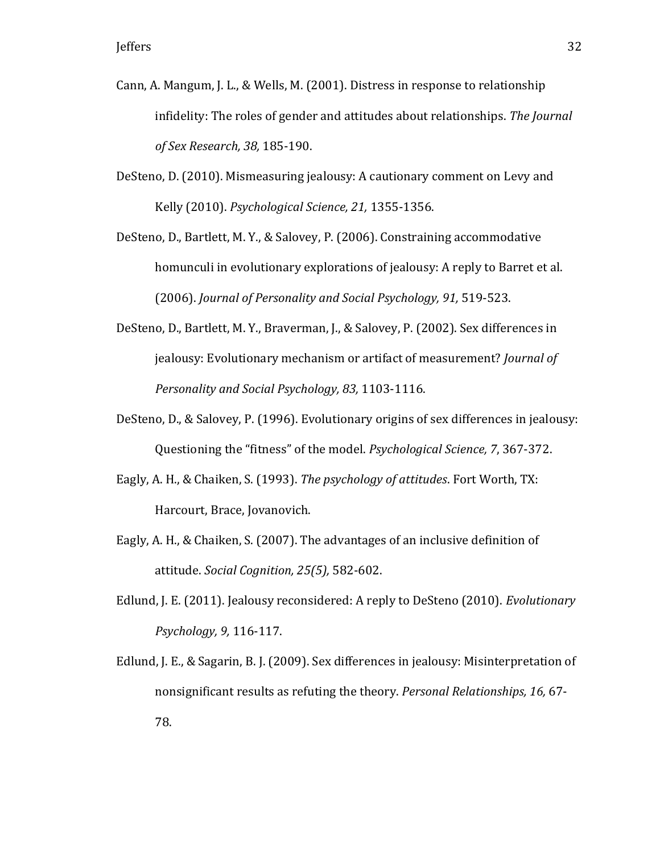- Cann, A. Mangum, J. L., & Wells, M. (2001). Distress in response to relationship infidelity: The roles of gender and attitudes about relationships. *The Journal of Sex Research, 38,* 185-190.
- DeSteno, D. (2010). Mismeasuring jealousy: A cautionary comment on Levy and Kelly (2010). *Psychological Science, 21,* 1355-1356.
- DeSteno, D., Bartlett, M. Y., & Salovey, P. (2006). Constraining accommodative homunculi in evolutionary explorations of jealousy: A reply to Barret et al. (2006). *Journal of Personality and Social Psychology, 91,* 519-523.
- DeSteno, D., Bartlett, M. Y., Braverman, J., & Salovey, P. (2002). Sex differences in jealousy: Evolutionary mechanism or artifact of measurement? *Journal of Personality and Social Psychology, 83,* 1103-1116.
- DeSteno, D., & Salovey, P. (1996). Evolutionary origins of sex differences in jealousy: Questioning the "fitness" of the model. *Psychological Science, 7*, 367-372.
- Eagly, A. H., & Chaiken, S. (1993). *The psychology of attitudes*. Fort Worth, TX: Harcourt, Brace, Jovanovich.
- Eagly, A. H., & Chaiken, S. (2007). The advantages of an inclusive definition of attitude. *Social Cognition, 25(5),* 582-602.
- Edlund, J. E. (2011). Jealousy reconsidered: A reply to DeSteno (2010). *Evolutionary Psychology, 9,* 116-117.
- Edlund, J. E., & Sagarin, B. J. (2009). Sex differences in jealousy: Misinterpretation of nonsignificant results as refuting the theory. *Personal Relationships, 16,* 67- 78.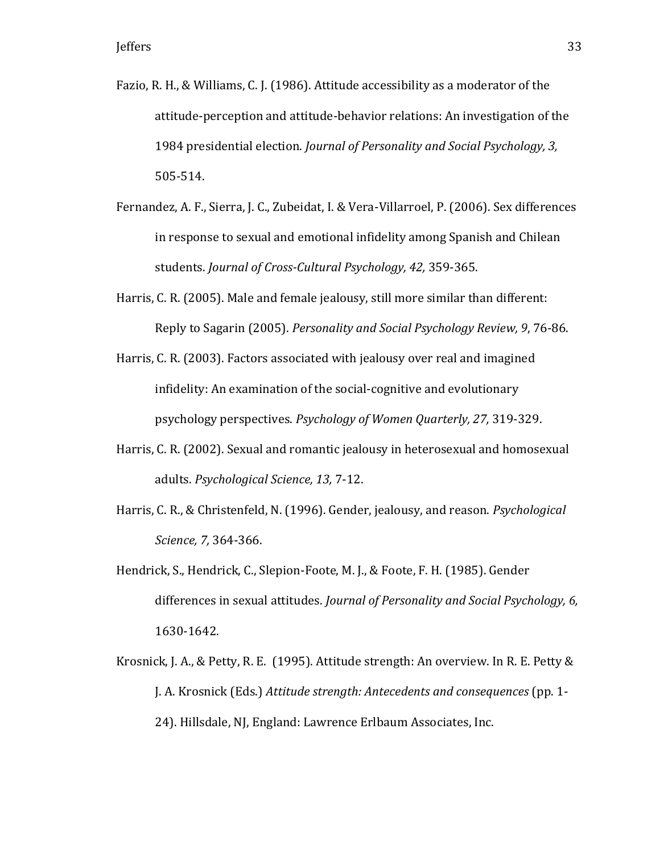- Fazio, R. H., & Williams, C. J. (1986). Attitude accessibility as a moderator of the attitude-perception and attitude-behavior relations: An investigation of the 1984 presidential election. *Journal of Personality and Social Psychology, 3,*  505-514.
- Fernandez, A. F., Sierra, J. C., Zubeidat, I. & Vera-Villarroel, P. (2006). Sex differences in response to sexual and emotional infidelity among Spanish and Chilean students. *Journal of Cross-Cultural Psychology, 42,* 359-365.
- Harris, C. R. (2005). Male and female jealousy, still more similar than different: Reply to Sagarin (2005). *Personality and Social Psychology Review, 9*, 76-86.
- Harris, C. R. (2003). Factors associated with jealousy over real and imagined infidelity: An examination of the social-cognitive and evolutionary psychology perspectives. *Psychology of Women Quarterly, 27,* 319-329.
- Harris, C. R. (2002). Sexual and romantic jealousy in heterosexual and homosexual adults. *Psychological Science, 13,* 7-12.
- Harris, C. R., & Christenfeld, N. (1996). Gender, jealousy, and reason. *Psychological Science, 7,* 364-366.
- Hendrick, S., Hendrick, C., Slepion-Foote, M. J., & Foote, F. H. (1985). Gender differences in sexual attitudes. *Journal of Personality and Social Psychology, 6,*  1630-1642.
- Krosnick, J. A., & Petty, R. E. (1995). Attitude strength: An overview. In R. E. Petty & J. A. Krosnick (Eds.) *Attitude strength: Antecedents and consequences* (pp. 1- 24). Hillsdale, NJ, England: Lawrence Erlbaum Associates, Inc.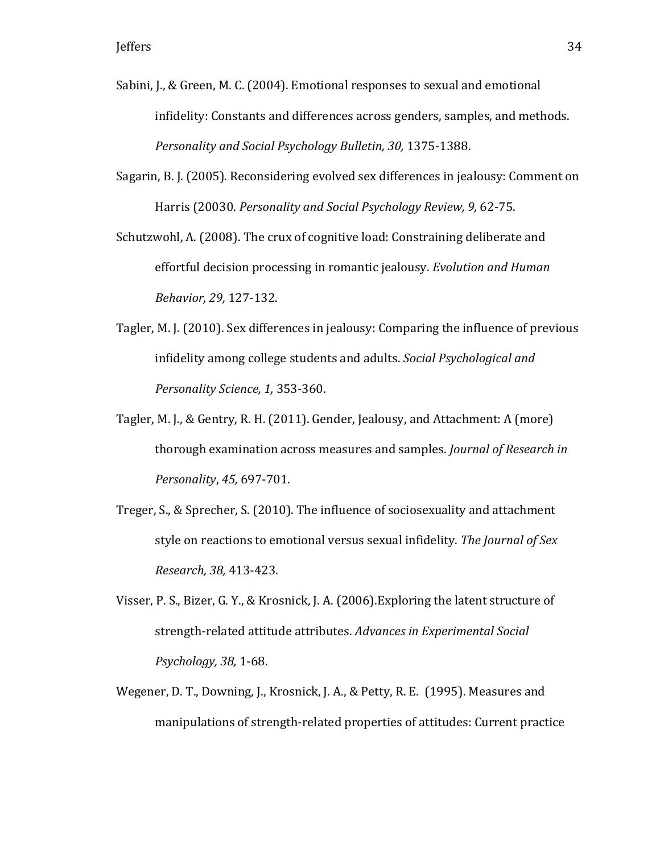- Sabini, J., & Green, M. C. (2004). Emotional responses to sexual and emotional infidelity: Constants and differences across genders, samples, and methods. *Personality and Social Psychology Bulletin, 30,* 1375-1388.
- Sagarin, B. J. (2005). Reconsidering evolved sex differences in jealousy: Comment on Harris (20030. *Personality and Social Psychology Review, 9,* 62-75.

Schutzwohl, A. (2008). The crux of cognitive load: Constraining deliberate and effortful decision processing in romantic jealousy. *Evolution and Human Behavior, 29,* 127-132.

- Tagler, M. J. (2010). Sex differences in jealousy: Comparing the influence of previous infidelity among college students and adults. *Social Psychological and Personality Science, 1,* 353-360.
- Tagler, M. J., & Gentry, R. H. (2011). Gender, Jealousy, and Attachment: A (more) thorough examination across measures and samples. *Journal of Research in Personality*, *45,* 697-701.
- Treger, S., & Sprecher, S. (2010). The influence of sociosexuality and attachment style on reactions to emotional versus sexual infidelity. *The Journal of Sex Research, 38,* 413-423.
- Visser, P. S., Bizer, G. Y., & Krosnick, J. A. (2006).Exploring the latent structure of strength-related attitude attributes. *Advances in Experimental Social Psychology, 38,* 1-68.
- Wegener, D. T., Downing, J., Krosnick, J. A., & Petty, R. E. (1995). Measures and manipulations of strength-related properties of attitudes: Current practice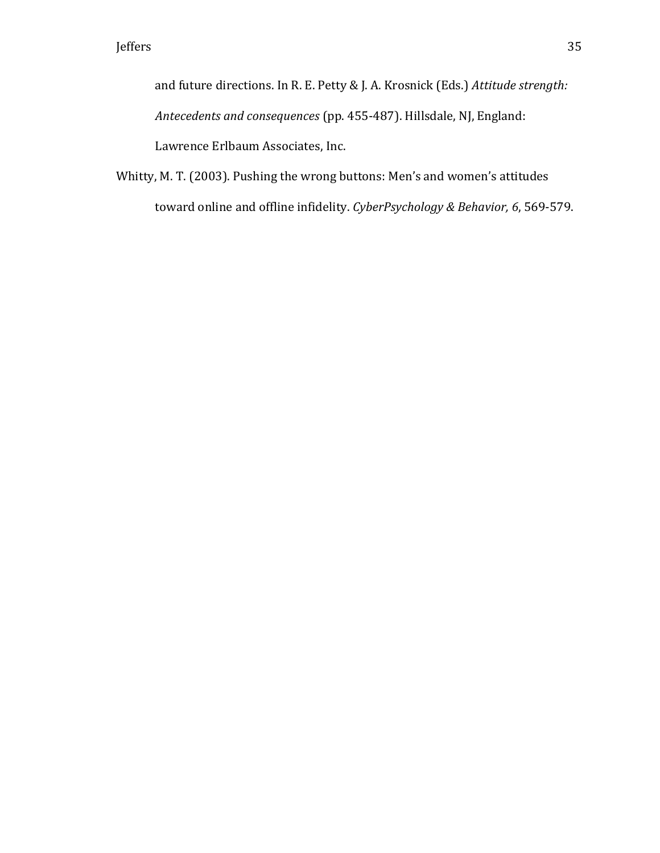and future directions. In R. E. Petty & J. A. Krosnick (Eds.) *Attitude strength: Antecedents and consequences* (pp. 455-487). Hillsdale, NJ, England: Lawrence Erlbaum Associates, Inc.

Whitty, M. T. (2003). Pushing the wrong buttons: Men's and women's attitudes toward online and offline infidelity. *CyberPsychology & Behavior, 6*, 569-579.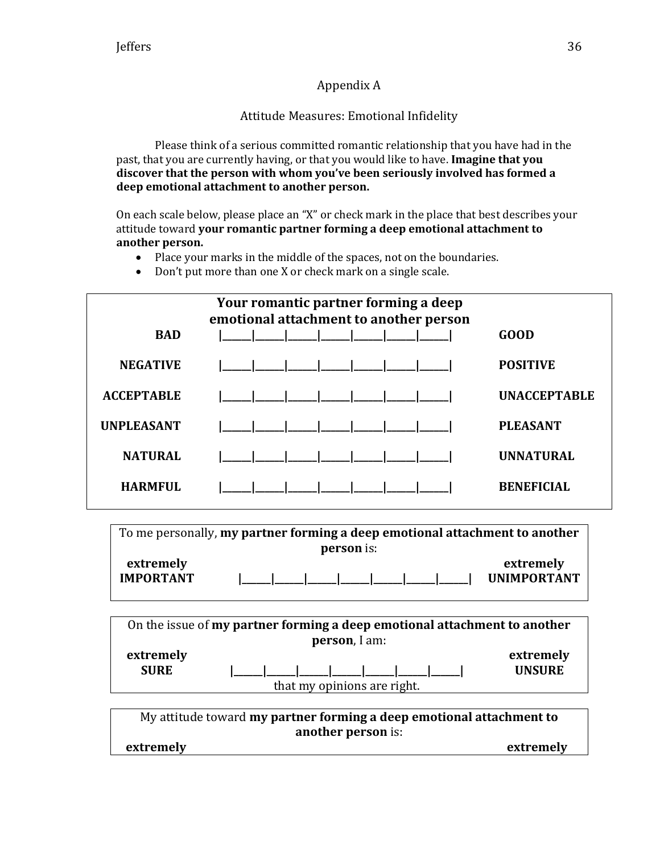# Appendix A

# Attitude Measures: Emotional Infidelity

Please think of a serious committed romantic relationship that you have had in the past, that you are currently having, or that you would like to have. **Imagine that you discover that the person with whom you've been seriously involved has formed a deep emotional attachment to another person.**

On each scale below, please place an "X" or check mark in the place that best describes your attitude toward **your romantic partner forming a deep emotional attachment to another person.**

- Place your marks in the middle of the spaces, not on the boundaries.
- Don't put more than one X or check mark on a single scale.

| Your romantic partner forming a deep<br>emotional attachment to another person |  |                     |  |  |  |  |  |
|--------------------------------------------------------------------------------|--|---------------------|--|--|--|--|--|
| <b>BAD</b>                                                                     |  | GOOD                |  |  |  |  |  |
| <b>NEGATIVE</b>                                                                |  | <b>POSITIVE</b>     |  |  |  |  |  |
| <b>ACCEPTABLE</b>                                                              |  | <b>UNACCEPTABLE</b> |  |  |  |  |  |
| <b>UNPLEASANT</b>                                                              |  | <b>PLEASANT</b>     |  |  |  |  |  |
| <b>NATURAL</b>                                                                 |  | <b>UNNATURAL</b>    |  |  |  |  |  |
| <b>HARMFUL</b>                                                                 |  | <b>BENEFICIAL</b>   |  |  |  |  |  |

To me personally, **my partner forming a deep emotional attachment to another person** is: **extremely extremely** 

| <b>IMPORTANT</b> |  |  |  | UNIMPORTANT |
|------------------|--|--|--|-------------|
|                  |  |  |  |             |

| On the issue of my partner forming a deep emotional attachment to another |  |  |  |  |  |  |
|---------------------------------------------------------------------------|--|--|--|--|--|--|
|                                                                           |  |  |  |  |  |  |
| extremely                                                                 |  |  |  |  |  |  |
|                                                                           |  |  |  |  |  |  |
|                                                                           |  |  |  |  |  |  |
|                                                                           |  |  |  |  |  |  |

My attitude toward **my partner forming a deep emotional attachment to another person** is: **extremely extremely**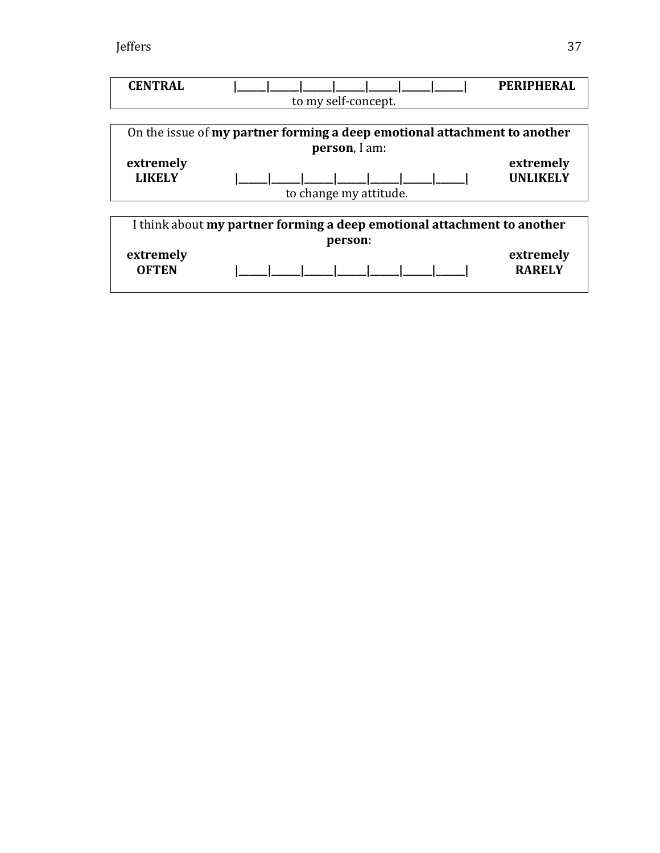| <b>CENTRAL</b> |                                                                           | PERIPHERAL      |  |  |  |  |  |
|----------------|---------------------------------------------------------------------------|-----------------|--|--|--|--|--|
|                | to my self-concept.                                                       |                 |  |  |  |  |  |
|                |                                                                           |                 |  |  |  |  |  |
|                | On the issue of my partner forming a deep emotional attachment to another |                 |  |  |  |  |  |
|                | person, I am:                                                             |                 |  |  |  |  |  |
| extremely      |                                                                           | extremely       |  |  |  |  |  |
| <b>LIKELY</b>  |                                                                           | <b>UNLIKELY</b> |  |  |  |  |  |
|                | to change my attitude.                                                    |                 |  |  |  |  |  |
|                |                                                                           |                 |  |  |  |  |  |
|                | I think about my partner forming a deep emotional attachment to another   |                 |  |  |  |  |  |
|                | person:                                                                   |                 |  |  |  |  |  |
| extremely      |                                                                           | extremely       |  |  |  |  |  |
| <b>OFTEN</b>   |                                                                           | <b>RARELY</b>   |  |  |  |  |  |
|                |                                                                           |                 |  |  |  |  |  |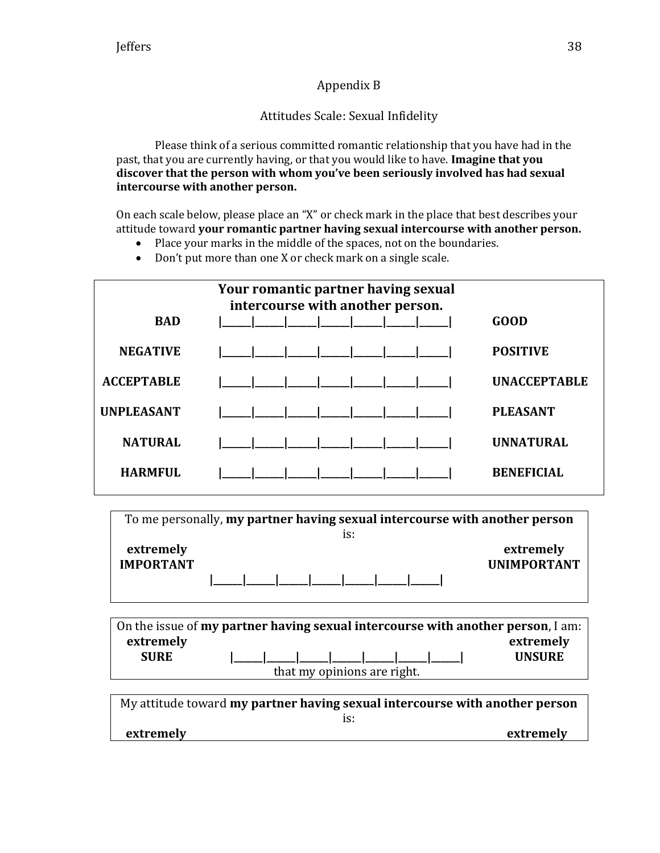# Appendix B

# Attitudes Scale: Sexual Infidelity

Please think of a serious committed romantic relationship that you have had in the past, that you are currently having, or that you would like to have. **Imagine that you discover that the person with whom you've been seriously involved has had sexual intercourse with another person.**

On each scale below, please place an "X" or check mark in the place that best describes your attitude toward **your romantic partner having sexual intercourse with another person.**

- Place your marks in the middle of the spaces, not on the boundaries.
- Don't put more than one X or check mark on a single scale.

| Your romantic partner having sexual<br>intercourse with another person. |  |                     |  |  |  |  |  |
|-------------------------------------------------------------------------|--|---------------------|--|--|--|--|--|
| <b>BAD</b>                                                              |  | <b>GOOD</b>         |  |  |  |  |  |
| <b>NEGATIVE</b>                                                         |  | <b>POSITIVE</b>     |  |  |  |  |  |
| <b>ACCEPTABLE</b>                                                       |  | <b>UNACCEPTABLE</b> |  |  |  |  |  |
| <b>UNPLEASANT</b>                                                       |  | <b>PLEASANT</b>     |  |  |  |  |  |
| <b>NATURAL</b>                                                          |  | <b>UNNATURAL</b>    |  |  |  |  |  |
| <b>HARMFUL</b>                                                          |  | <b>BENEFICIAL</b>   |  |  |  |  |  |

To me personally, **my partner having sexual intercourse with another person**  is: **extremely IMPORTANT |\_\_\_\_\_\_|\_\_\_\_\_\_|\_\_\_\_\_\_|\_\_\_\_\_\_|\_\_\_\_\_\_|\_\_\_\_\_\_|\_\_\_\_\_\_| extremely UNIMPORTANT**

On the issue of **my partner having sexual intercourse with another person**, I am: **extremely SURE |\_\_\_\_\_\_|\_\_\_\_\_\_|\_\_\_\_\_\_|\_\_\_\_\_\_|\_\_\_\_\_\_|\_\_\_\_\_\_|\_\_\_\_\_\_| extremely UNSURE** that my opinions are right.

| My attitude toward my partner having sexual intercourse with another person |  |
|-----------------------------------------------------------------------------|--|
|                                                                             |  |
| extremely<br>extremely                                                      |  |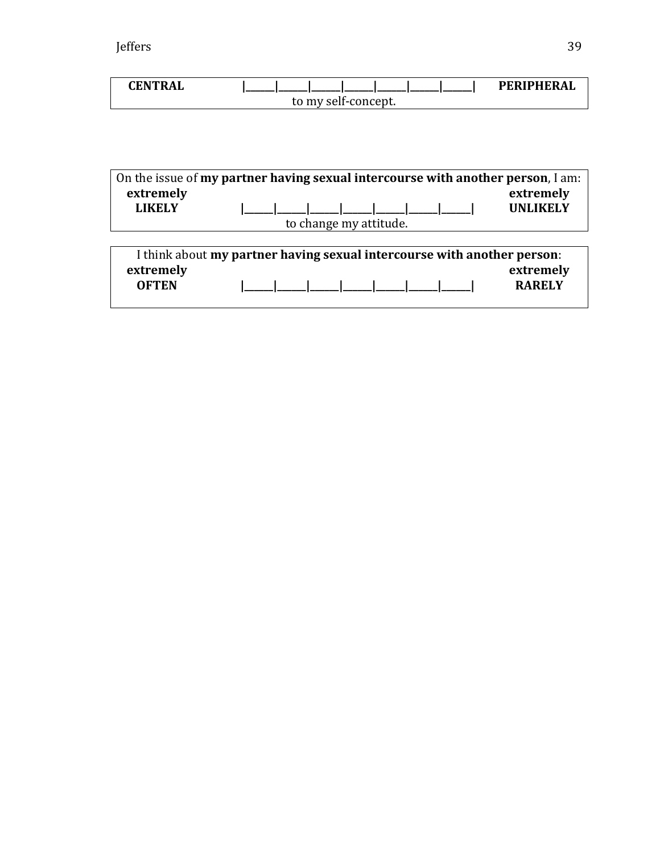| CENTRAL |                     | <b>PERIPHERAL</b> |
|---------|---------------------|-------------------|
|         | to my self-concept. |                   |

| On the issue of my partner having sexual intercourse with another person, I am:<br>extremely<br><b>LIKELY</b> |                        |  | extremely<br><b>UNLIKELY</b> |
|---------------------------------------------------------------------------------------------------------------|------------------------|--|------------------------------|
|                                                                                                               | to change my attitude. |  |                              |
|                                                                                                               |                        |  |                              |
| I think about my partner having sexual intercourse with another person:<br>extremely<br><b>OFTEN</b>          |                        |  | extremely<br><b>RARELY</b>   |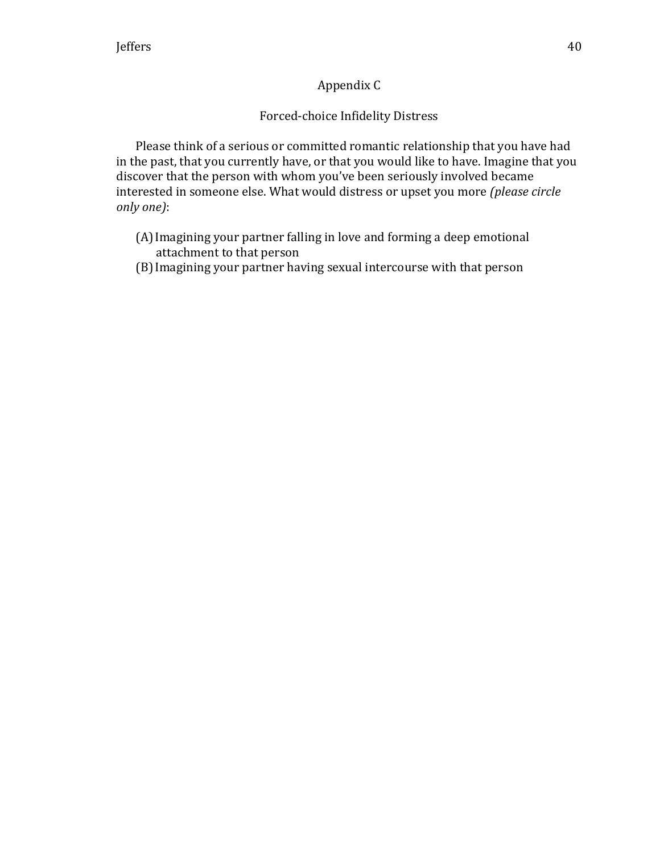# Appendix C

# Forced-choice Infidelity Distress

Please think of a serious or committed romantic relationship that you have had in the past, that you currently have, or that you would like to have. Imagine that you discover that the person with whom you've been seriously involved became interested in someone else. What would distress or upset you more *(please circle only one)*:

- (A)Imagining your partner falling in love and forming a deep emotional attachment to that person
- (B)Imagining your partner having sexual intercourse with that person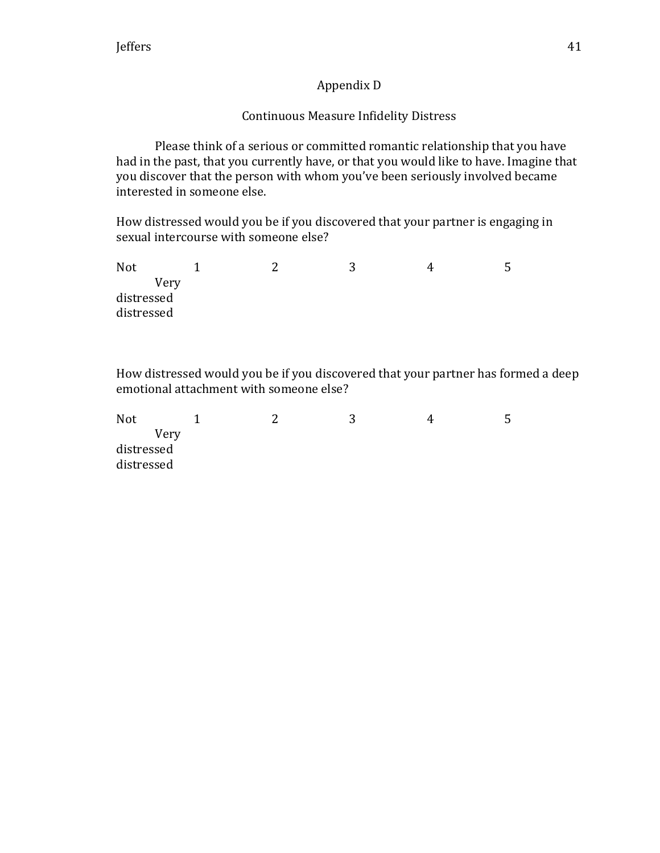# Appendix D

# Continuous Measure Infidelity Distress

Please think of a serious or committed romantic relationship that you have had in the past, that you currently have, or that you would like to have. Imagine that you discover that the person with whom you've been seriously involved became interested in someone else.

How distressed would you be if you discovered that your partner is engaging in sexual intercourse with someone else?

Not 1 2 3 4 5 Very distressed distressed

How distressed would you be if you discovered that your partner has formed a deep emotional attachment with someone else?

| Not        | ◠ |  | ა |
|------------|---|--|---|
| Very       |   |  |   |
| distressed |   |  |   |
| distressed |   |  |   |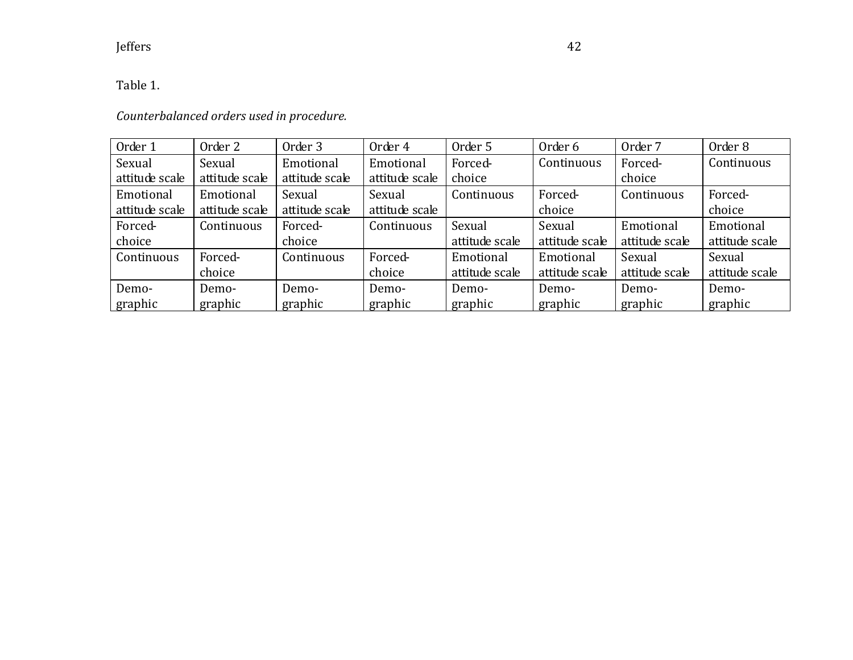Table 1.

# *Counterbalanced orders used in procedure.*

| Order 1        | Order 2        | Order 3        | Order 4        | Order 5        | Order 6        | Order <sub>7</sub> | Order 8        |
|----------------|----------------|----------------|----------------|----------------|----------------|--------------------|----------------|
| Sexual         | Sexual         | Emotional      | Emotional      | Forced-        | Continuous     | Forced-            | Continuous     |
| attitude scale | attitude scale | attitude scale | attitude scale | choice         |                | choice             |                |
| Emotional      | Emotional      | Sexual         | Sexual         | Continuous     | Forced-        | Continuous         | Forced-        |
| attitude scale | attitude scale | attitude scale | attitude scale |                | choice         |                    | choice         |
| Forced-        | Continuous     | Forced-        | Continuous     | Sexual         | Sexual         | Emotional          | Emotional      |
| choice         |                | choice         |                | attitude scale | attitude scale | attitude scale     | attitude scale |
| Continuous     | Forced-        | Continuous     | Forced-        | Emotional      | Emotional      | Sexual             | Sexual         |
|                | choice         |                | choice         | attitude scale | attitude scale | attitude scale     | attitude scale |
| Demo-          | Demo-          | Demo-          | Demo-          | Demo-          | Demo-          | Demo-              | Demo-          |
| graphic        | graphic        | graphic        | graphic        | graphic        | graphic        | graphic            | graphic        |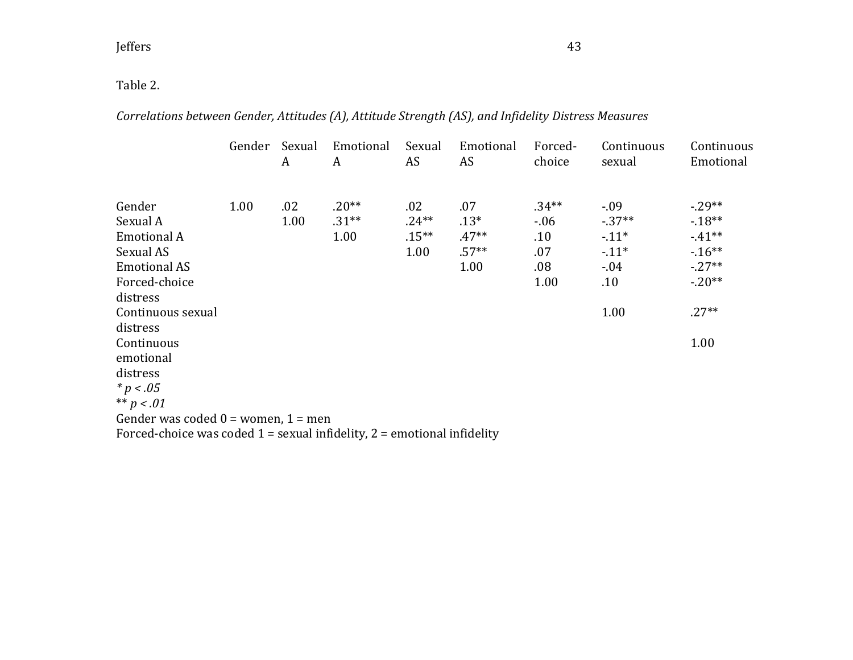# Table 2.

# *Correlations between Gender, Attitudes (A), Attitude Strength (AS), and Infidelity Distress Measures*

|                                                                             | Gender | Sexual<br>A | Emotional<br>A | Sexual<br>AS | Emotional<br>AS | Forced-<br>choice | Continuous<br>sexual | Continuous<br>Emotional |
|-----------------------------------------------------------------------------|--------|-------------|----------------|--------------|-----------------|-------------------|----------------------|-------------------------|
| Gender                                                                      | 1.00   | .02         | $.20**$        | .02          | .07             | $.34***$          | $-.09$               | $-29**$                 |
| Sexual A                                                                    |        | 1.00        | $.31**$        | $.24**$      | $.13*$          | $-0.06$           | $-37**$              | $-18**$                 |
| <b>Emotional A</b>                                                          |        |             | 1.00           | $.15***$     | $.47**$         | .10               | $-11*$               | $-41**$                 |
| Sexual AS                                                                   |        |             |                | 1.00         | $.57**$         | .07               | $-11*$               | $-16**$                 |
| <b>Emotional AS</b>                                                         |        |             |                |              | 1.00            | $.08\,$           | $-0.04$              | $-27**$                 |
| Forced-choice                                                               |        |             |                |              |                 | 1.00              | .10                  | $-.20**$                |
| distress                                                                    |        |             |                |              |                 |                   |                      |                         |
| Continuous sexual                                                           |        |             |                |              |                 |                   | 1.00                 | $.27**$                 |
| distress                                                                    |        |             |                |              |                 |                   |                      |                         |
| Continuous                                                                  |        |             |                |              |                 |                   |                      | 1.00                    |
| emotional                                                                   |        |             |                |              |                 |                   |                      |                         |
| distress                                                                    |        |             |                |              |                 |                   |                      |                         |
| $* p < .05$                                                                 |        |             |                |              |                 |                   |                      |                         |
| ** $p < .01$                                                                |        |             |                |              |                 |                   |                      |                         |
| Gender was coded $0 =$ women, $1 =$ men                                     |        |             |                |              |                 |                   |                      |                         |
| Forced-choice was coded $1$ = sexual infidelity, $2$ = emotional infidelity |        |             |                |              |                 |                   |                      |                         |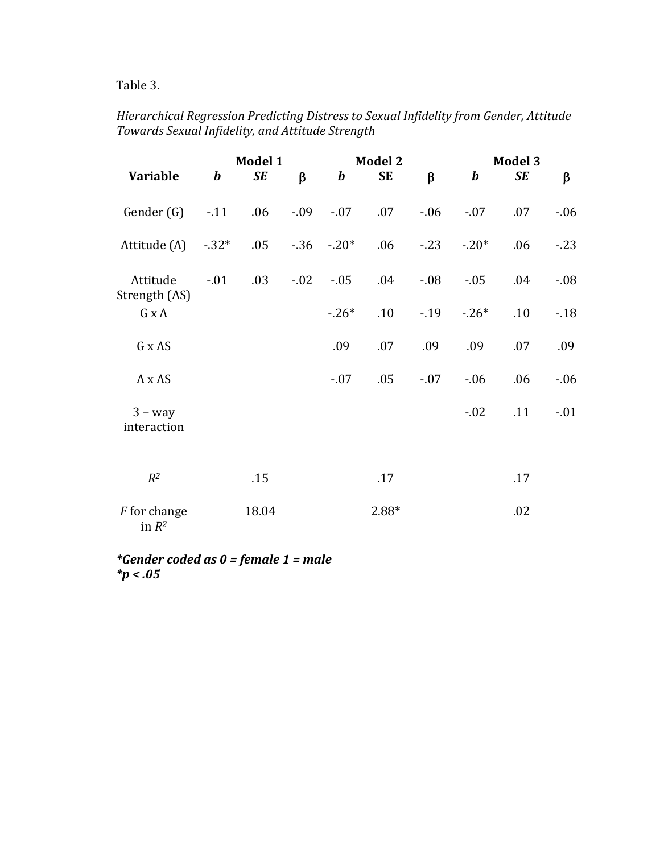Table 3.

# *Hierarchical Regression Predicting Distress to Sexual Infidelity from Gender, Attitude Towards Sexual Infidelity, and Attitude Strength*

|                                 |                  | Model 1   |         |          | <b>Model 2</b> |         |          | <b>Model 3</b> |         |
|---------------------------------|------------------|-----------|---------|----------|----------------|---------|----------|----------------|---------|
| Variable                        | $\boldsymbol{b}$ | <b>SE</b> | $\beta$ | $\bm{b}$ | <b>SE</b>      | $\beta$ | $\bm{b}$ | <b>SE</b>      | β       |
| Gender (G)                      | $-11$            | .06       | $-0.09$ | $-.07$   | .07            | $-06$   | $-.07$   | .07            | $-0.06$ |
| Attitude (A)                    | $-32*$           | .05       | $-36$   | $-0.20*$ | .06            | $-23$   | $-20*$   | .06            | $-23$   |
| Attitude<br>Strength (AS)       | $-01$            | .03       | $-0.02$ | $-0.05$  | .04            | $-0.08$ | $-0.05$  | .04            | $-0.08$ |
| G x A                           |                  |           |         | $-26*$   | .10            | $-19$   | $-26*$   | .10            | $-.18$  |
| G x AS                          |                  |           |         | .09      | .07            | .09     | .09      | .07            | .09     |
| A x AS                          |                  |           |         | $-07$    | .05            | $-0.07$ | $-0.06$  | .06            | $-06$   |
| $3 - way$<br>interaction        |                  |           |         |          |                |         | $-0.02$  | .11            | $-.01$  |
| $R^2$                           |                  | .15       |         |          | .17            |         |          | .17            |         |
| <i>F</i> for change<br>in $R^2$ |                  | 18.04     |         |          | $2.88*$        |         |          | .02            |         |

*\*Gender coded as 0 = female 1 = male \*p < .05*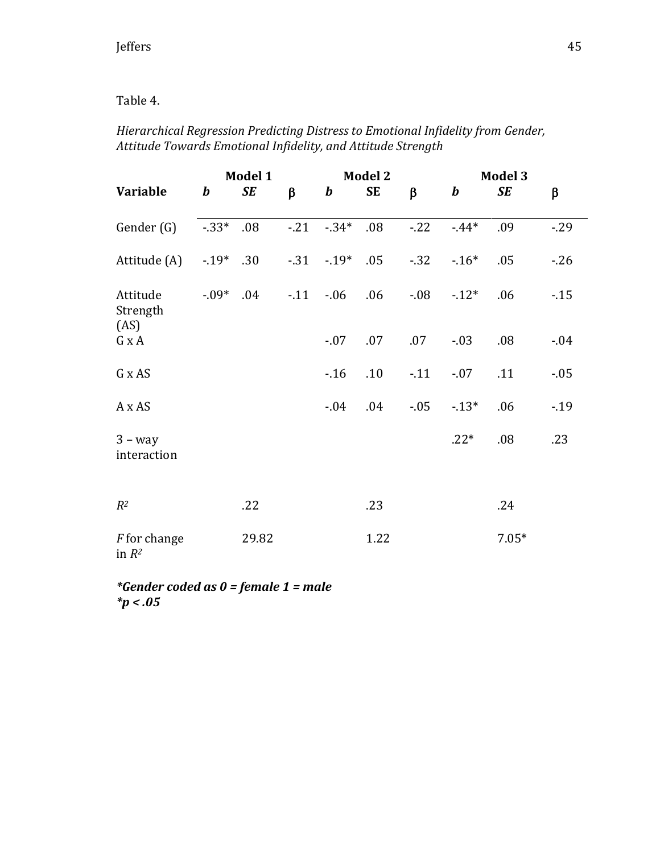## Table 4.

## *Hierarchical Regression Predicting Distress to Emotional Infidelity from Gender, Attitude Towards Emotional Infidelity, and Attitude Strength*

|                                 | Model 1          |       |            |             | <b>Model 2</b> |         | <b>Model 3</b>   |           |         |
|---------------------------------|------------------|-------|------------|-------------|----------------|---------|------------------|-----------|---------|
| Variable                        | $\boldsymbol{b}$ | SE    | $\beta$    | $\bm{b}$    | <b>SE</b>      | $\beta$ | $\boldsymbol{b}$ | <b>SE</b> | $\beta$ |
| Gender (G)                      | $-33*$           | .08   | $-21$      | $-34*$      | .08            | $-22$   | $-44*$           | .09       | $-29$   |
| Attitude (A)                    | $-19*$           | .30   |            | $-.31-.19*$ | .05            | $-32$   | $-16*$           | .05       | $-26$   |
| Attitude<br>Strength<br>(AS)    | $-0.09*$         | .04   | $-.11-.06$ |             | .06            | $-0.08$ | $-12*$           | .06       | $-15$   |
| G x A                           |                  |       |            | $-.07$      | .07            | .07     | $-0.03$          | .08       | $-0.04$ |
| G x AS                          |                  |       |            | $-16$       | .10            | $-0.11$ | $-.07$           | .11       | $-0.05$ |
| A x AS                          |                  |       |            | $-0.04$     | .04            | $-0.05$ | $-13*$           | .06       | $-19$   |
| $3 - way$<br>interaction        |                  |       |            |             |                |         | $.22*$           | .08       | .23     |
| $R^2$                           |                  | .22   |            |             | .23            |         |                  | .24       |         |
| <i>F</i> for change<br>in $R^2$ |                  | 29.82 |            |             | 1.22           |         |                  | $7.05*$   |         |

*\*Gender coded as 0 = female 1 = male \*p < .05*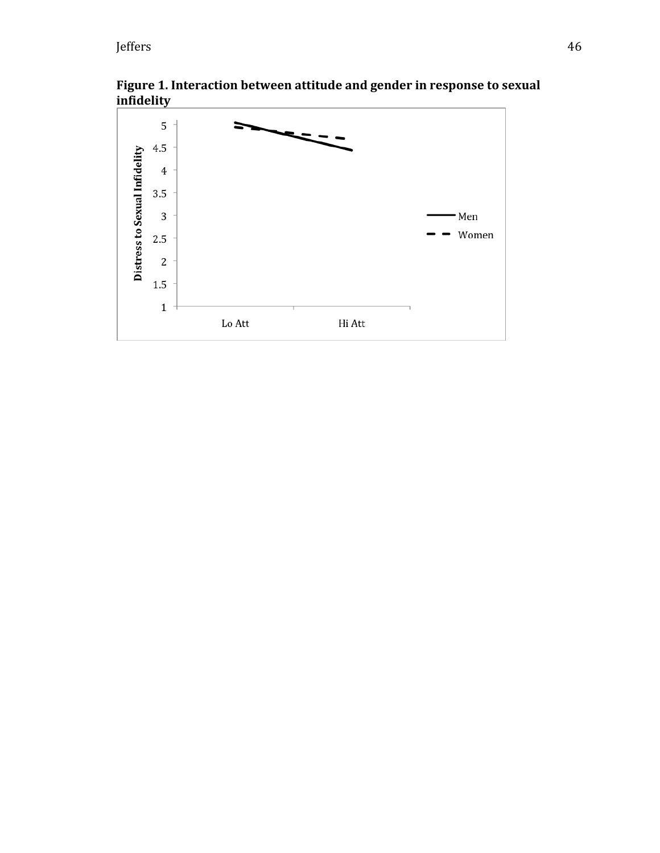**Figure 1. Interaction between attitude and gender in response to sexual infidelity**